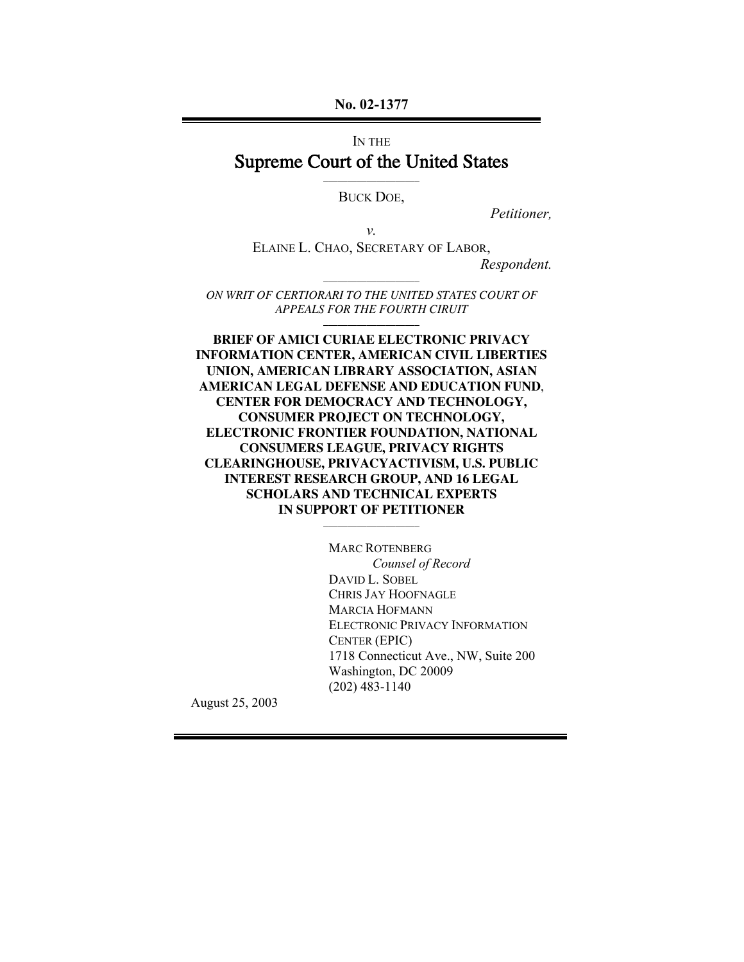**No. 02-1377**

# IN THE Supreme Court of the United States

\_\_\_\_\_\_\_\_\_\_\_\_\_\_\_\_\_\_\_\_ BUCK DOE,

*Petitioner,*

*v.* ELAINE L. CHAO, SECRETARY OF LABOR, *Respondent.*

\_\_\_\_\_\_\_\_\_\_\_\_\_\_\_\_\_\_\_\_ *ON WRIT OF CERTIORARI TO THE UNITED STATES COURT OF APPEALS FOR THE FOURTH CIRUIT* **\_\_\_\_\_\_\_\_\_\_\_\_\_\_\_\_\_\_\_\_**

**BRIEF OF AMICI CURIAE ELECTRONIC PRIVACY INFORMATION CENTER, AMERICAN CIVIL LIBERTIES UNION, AMERICAN LIBRARY ASSOCIATION, ASIAN AMERICAN LEGAL DEFENSE AND EDUCATION FUND**, **CENTER FOR DEMOCRACY AND TECHNOLOGY, CONSUMER PROJECT ON TECHNOLOGY, ELECTRONIC FRONTIER FOUNDATION, NATIONAL CONSUMERS LEAGUE, PRIVACY RIGHTS CLEARINGHOUSE, PRIVACYACTIVISM, U.S. PUBLIC INTEREST RESEARCH GROUP, AND 16 LEGAL SCHOLARS AND TECHNICAL EXPERTS IN SUPPORT OF PETITIONER**

\_\_\_\_\_\_\_\_\_\_\_\_\_\_\_\_\_\_\_\_

MARC ROTENBERG *Counsel of Record* DAVID L. SOBEL CHRIS JAY HOOFNAGLE MARCIA HOFMANN ELECTRONIC PRIVACY INFORMATION CENTER (EPIC) 1718 Connecticut Ave., NW, Suite 200 Washington, DC 20009 (202) 483-1140

August 25, 2003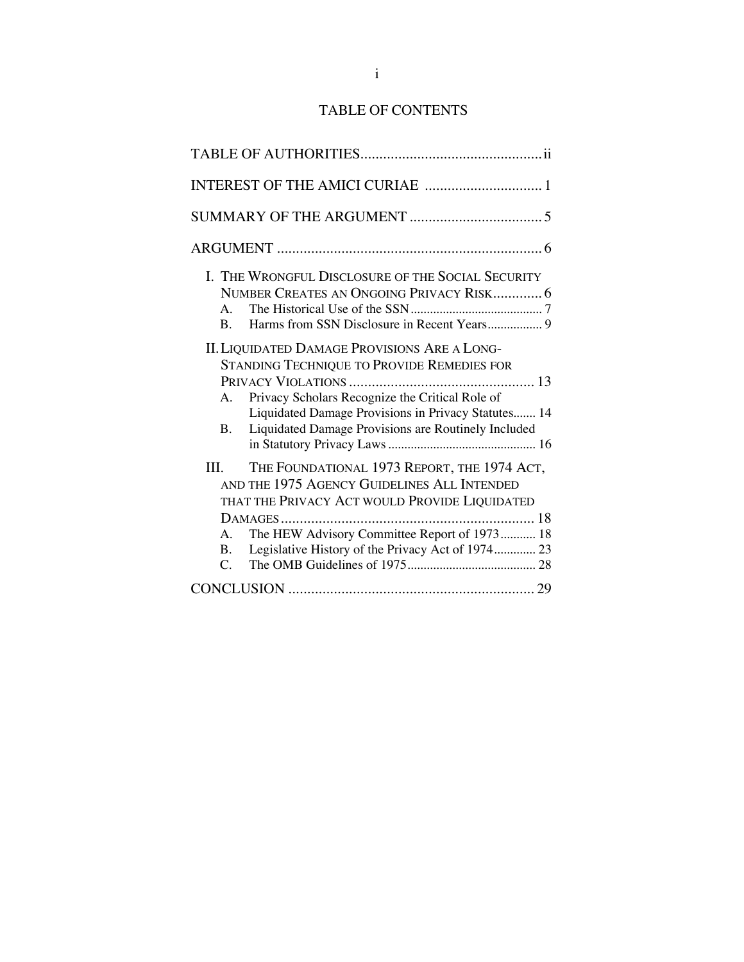# TABLE OF CONTENTS

| $A_{-}$<br>B.                | I. THE WRONGFUL DISCLOSURE OF THE SOCIAL SECURITY<br>NUMBER CREATES AN ONGOING PRIVACY RISK 6<br>Harms from SSN Disclosure in Recent Years 9                                                                                                                       |  |
|------------------------------|--------------------------------------------------------------------------------------------------------------------------------------------------------------------------------------------------------------------------------------------------------------------|--|
| A.<br>B.                     | <b>II. LIQUIDATED DAMAGE PROVISIONS ARE A LONG-</b><br>STANDING TECHNIQUE TO PROVIDE REMEDIES FOR<br>Privacy Scholars Recognize the Critical Role of<br>Liquidated Damage Provisions in Privacy Statutes 14<br>Liquidated Damage Provisions are Routinely Included |  |
| III.<br>A.<br>$\mathbf{B}$ . | THE FOUNDATIONAL 1973 REPORT, THE 1974 ACT,<br>AND THE 1975 AGENCY GUIDELINES ALL INTENDED<br>THAT THE PRIVACY ACT WOULD PROVIDE LIQUIDATED<br>The HEW Advisory Committee Report of 1973 18<br>Legislative History of the Privacy Act of 1974 23                   |  |
| $\mathcal{C}$ .              |                                                                                                                                                                                                                                                                    |  |
|                              |                                                                                                                                                                                                                                                                    |  |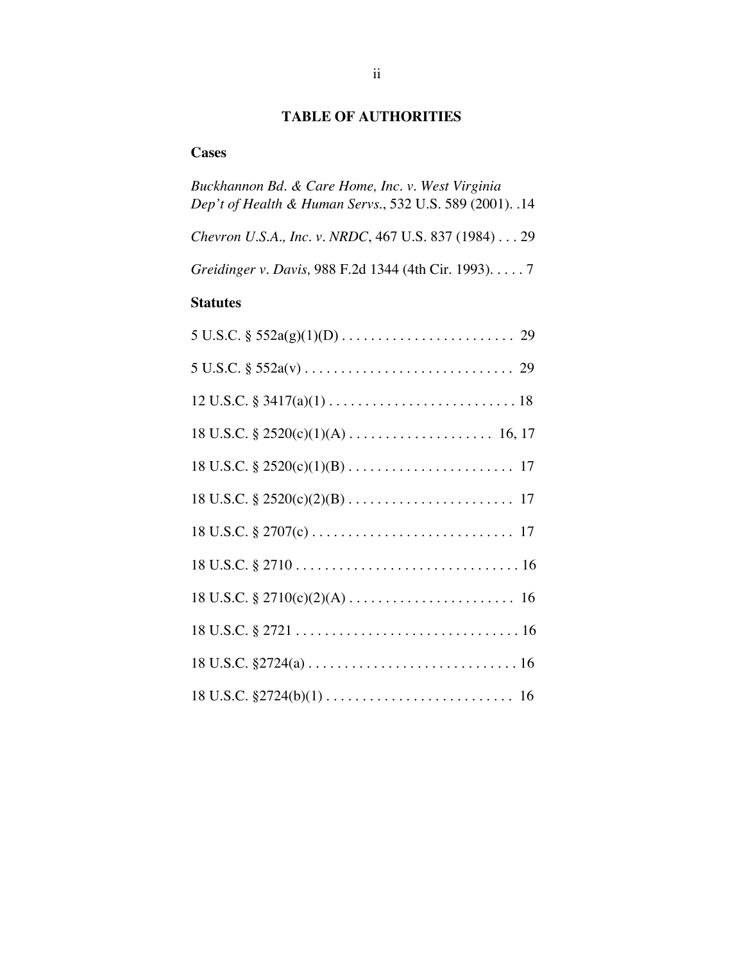# **TABLE OF AUTHORITIES**

## **Cases**

| Buckhannon Bd. & Care Home, Inc. v. West Virginia<br>Dep't of Health & Human Servs., 532 U.S. 589 (2001). .14 |
|---------------------------------------------------------------------------------------------------------------|
| Chevron U.S.A., Inc. v. NRDC, 467 U.S. 837 (1984) 29                                                          |
| Greidinger v. Davis, 988 F.2d 1344 (4th Cir. 1993). 7                                                         |
| <b>Statutes</b>                                                                                               |
|                                                                                                               |
|                                                                                                               |
|                                                                                                               |
|                                                                                                               |
|                                                                                                               |
|                                                                                                               |
|                                                                                                               |
|                                                                                                               |
|                                                                                                               |
|                                                                                                               |
|                                                                                                               |
|                                                                                                               |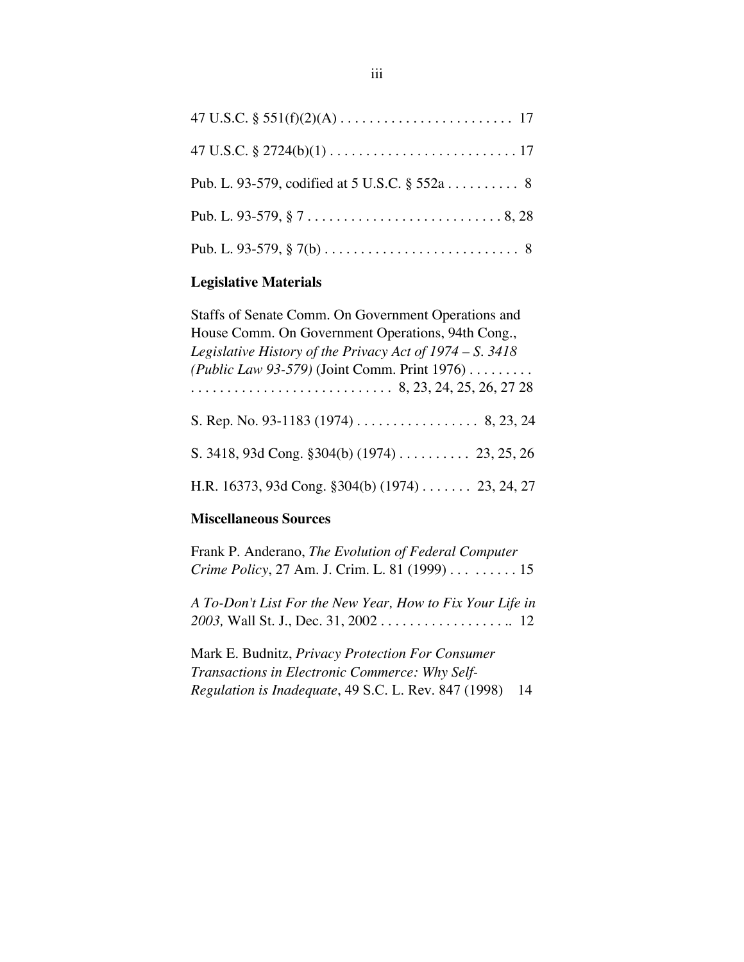| Pub. L. 93-579, codified at 5 U.S.C. § 552a 8 |
|-----------------------------------------------|
|                                               |
|                                               |

# **Legislative Materials**

| Staffs of Senate Comm. On Government Operations and        |
|------------------------------------------------------------|
| House Comm. On Government Operations, 94th Cong.,          |
| Legislative History of the Privacy Act of $1974 - S.$ 3418 |
| (Public Law 93-579) (Joint Comm. Print 1976)               |
|                                                            |
|                                                            |
| S. 3418, 93d Cong. $$304(b) (1974)$ 23, 25, 26             |
| H.R. 16373, 93d Cong. §304(b) (1974) 23, 24, 27            |

## **Miscellaneous Sources**

| Frank P. Anderano, The Evolution of Federal Computer      |    |
|-----------------------------------------------------------|----|
| <i>Crime Policy, 27 Am. J. Crim. L. 81 (1999) </i> 15     |    |
| A To-Don't List For the New Year, How to Fix Your Life in |    |
|                                                           |    |
|                                                           |    |
| Mark E. Budnitz, Privacy Protection For Consumer          |    |
| Transactions in Electronic Commerce: Why Self-            |    |
| Regulation is Inadequate, 49 S.C. L. Rev. 847 (1998)      | 14 |
|                                                           |    |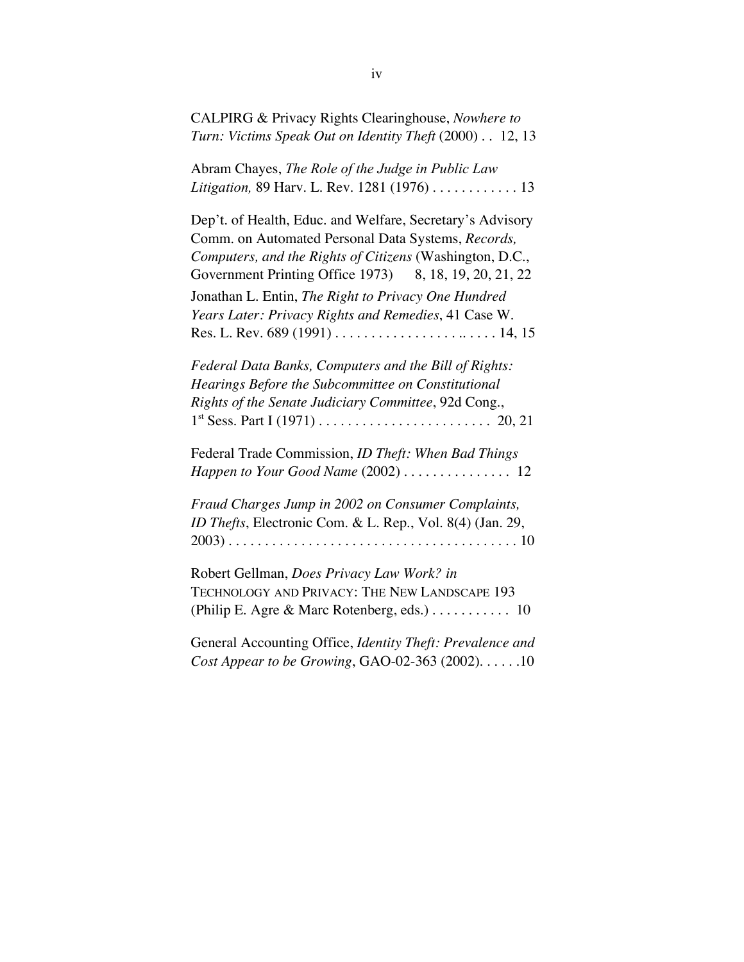CALPIRG & Privacy Rights Clearinghouse, *Nowhere to Turn: Victims Speak Out on Identity Theft* (2000) . . 12, 13

Abram Chayes, *The Role of the Judge in Public Law Litigation,* 89 Harv. L. Rev. 1281 (1976) . . . . . . . . . . . . 13

Dep't. of Health, Educ. and Welfare, Secretary's Advisory Comm. on Automated Personal Data Systems, *Records, Computers, and the Rights of Citizens* (Washington, D.C., Government Printing Office 1973) 8, 18, 19, 20, 21, 22 Jonathan L. Entin, *The Right to Privacy One Hundred Years Later: Privacy Rights and Remedies*, 41 Case W. Res. L. Rev. 689 (1991) . . . . . . . . . . . . . . . . . .. . . . . 14, 15

*Federal Data Banks, Computers and the Bill of Rights: Hearings Before the Subcommittee on Constitutional Rights of the Senate Judiciary Committee*, 92d Cong., 1st Sess. Part I (1971) . . . . . . . . . . . . . . . . . . . . . . . . 20, 21

Federal Trade Commission, *ID Theft: When Bad Things Happen to Your Good Name* (2002) . . . . . . . . . . . . . . . 12

*Fraud Charges Jump in 2002 on Consumer Complaints, ID Thefts*, Electronic Com. & L. Rep., Vol. 8(4) (Jan. 29, 2003) . . . . . . . . . . . . . . . . . . . . . . . . . . . . . . . . . . . . . . . . 10

Robert Gellman, *Does Privacy Law Work? in* TECHNOLOGY AND PRIVACY: THE NEW LANDSCAPE 193 (Philip E. Agre & Marc Rotenberg, eds.) . . . . . . . . . . . 10

General Accounting Office, *Identity Theft: Prevalence and Cost Appear to be Growing*, GAO-02-363 (2002). . . . . .10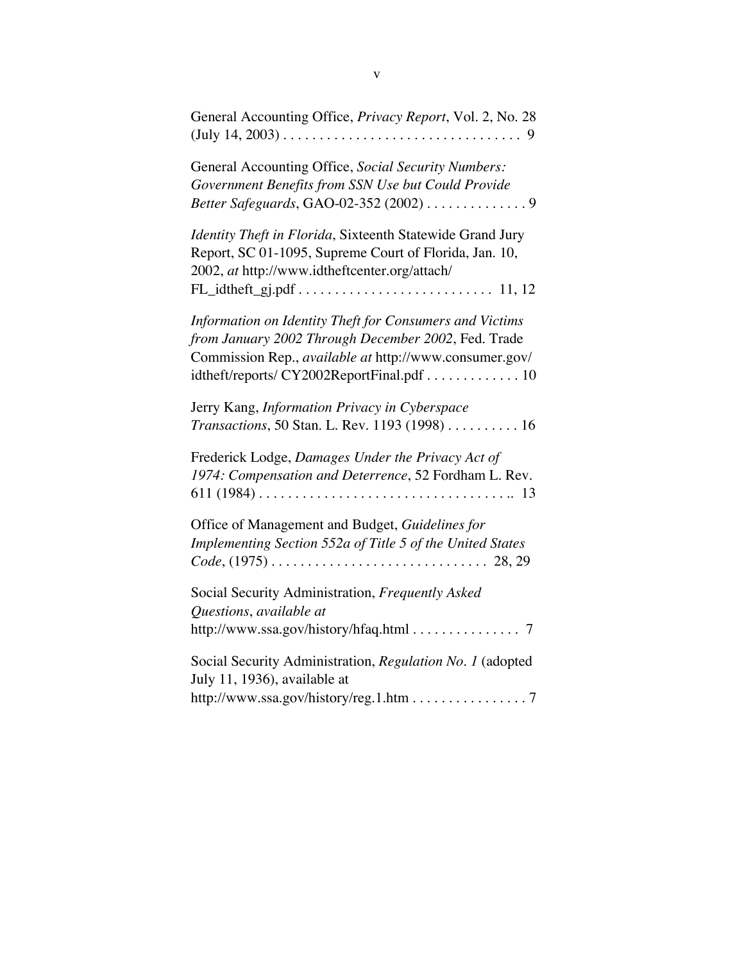| General Accounting Office, Privacy Report, Vol. 2, No. 28                                                                                                                                                                    |
|------------------------------------------------------------------------------------------------------------------------------------------------------------------------------------------------------------------------------|
| General Accounting Office, Social Security Numbers:<br>Government Benefits from SSN Use but Could Provide<br>Better Safeguards, GAO-02-352 (2002) 9                                                                          |
| Identity Theft in Florida, Sixteenth Statewide Grand Jury<br>Report, SC 01-1095, Supreme Court of Florida, Jan. 10,<br>2002, at http://www.idtheftcenter.org/attach/                                                         |
| Information on Identity Theft for Consumers and Victims<br>from January 2002 Through December 2002, Fed. Trade<br>Commission Rep., <i>available at</i> http://www.consumer.gov/<br>idtheft/reports/ CY2002ReportFinal.pdf 10 |
| Jerry Kang, Information Privacy in Cyberspace<br>Transactions, 50 Stan. L. Rev. 1193 (1998) 16                                                                                                                               |
| Frederick Lodge, Damages Under the Privacy Act of<br>1974: Compensation and Deterrence, 52 Fordham L. Rev.<br>$611 (1984) \ldots \ldots \ldots \ldots \ldots \ldots \ldots \ldots \ldots \ldots \ldots \ldots \ldots 13$     |
| Office of Management and Budget, Guidelines for<br>Implementing Section 552a of Title 5 of the United States                                                                                                                 |
| Social Security Administration, Frequently Asked<br>Questions, available at<br>http://www.ssa.gov/history/hfaq.html 7                                                                                                        |
| Social Security Administration, Regulation No. 1 (adopted<br>July 11, 1936), available at                                                                                                                                    |
| http://www.ssa.gov/history/reg.1.htm 7                                                                                                                                                                                       |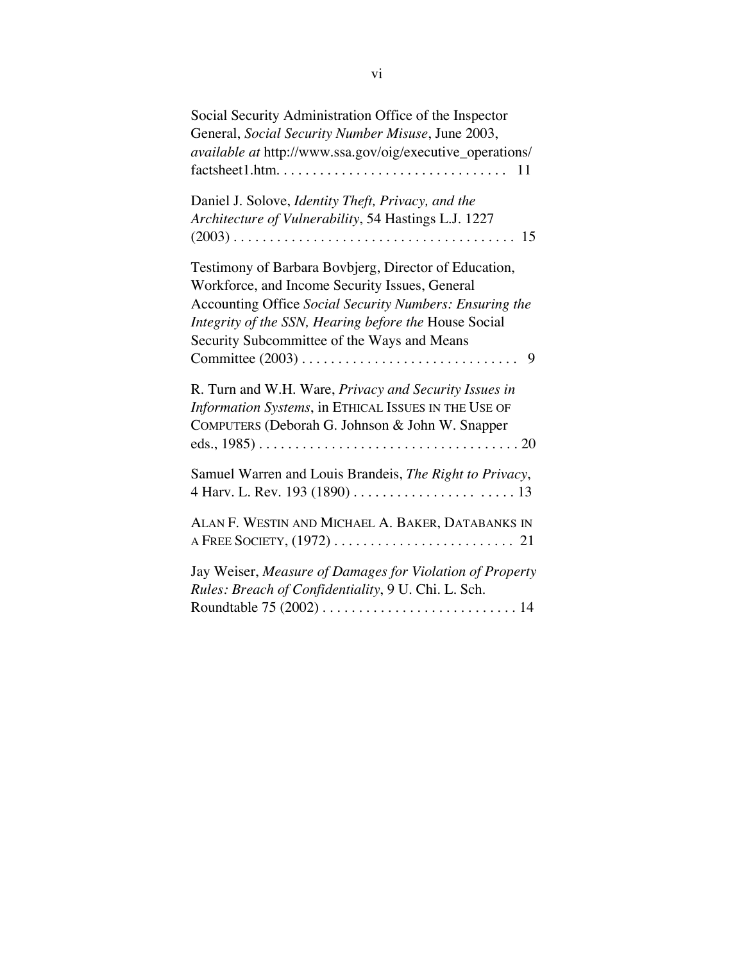| Social Security Administration Office of the Inspector                                                                                              |
|-----------------------------------------------------------------------------------------------------------------------------------------------------|
| General, Social Security Number Misuse, June 2003,                                                                                                  |
| available at http://www.ssa.gov/oig/executive_operations/<br>$factsheet1.htm. \ldots \ldots \ldots \ldots \ldots \ldots \ldots \ldots \ldots$<br>11 |
| Daniel J. Solove, Identity Theft, Privacy, and the                                                                                                  |
| Architecture of Vulnerability, 54 Hastings L.J. 1227                                                                                                |
| 15                                                                                                                                                  |
| Testimony of Barbara Bovbjerg, Director of Education,                                                                                               |
| Workforce, and Income Security Issues, General                                                                                                      |
| Accounting Office Social Security Numbers: Ensuring the                                                                                             |
| Integrity of the SSN, Hearing before the House Social                                                                                               |
| Security Subcommittee of the Ways and Means<br>9                                                                                                    |
|                                                                                                                                                     |
| R. Turn and W.H. Ware, Privacy and Security Issues in                                                                                               |
| Information Systems, in ETHICAL ISSUES IN THE USE OF                                                                                                |
| COMPUTERS (Deborah G. Johnson & John W. Snapper                                                                                                     |
|                                                                                                                                                     |
|                                                                                                                                                     |
| Samuel Warren and Louis Brandeis, The Right to Privacy,                                                                                             |
|                                                                                                                                                     |
| ALAN F. WESTIN AND MICHAEL A. BAKER, DATABANKS IN                                                                                                   |
|                                                                                                                                                     |
|                                                                                                                                                     |
| Jay Weiser, Measure of Damages for Violation of Property<br>Rules: Breach of Confidentiality, 9 U. Chi. L. Sch.                                     |
|                                                                                                                                                     |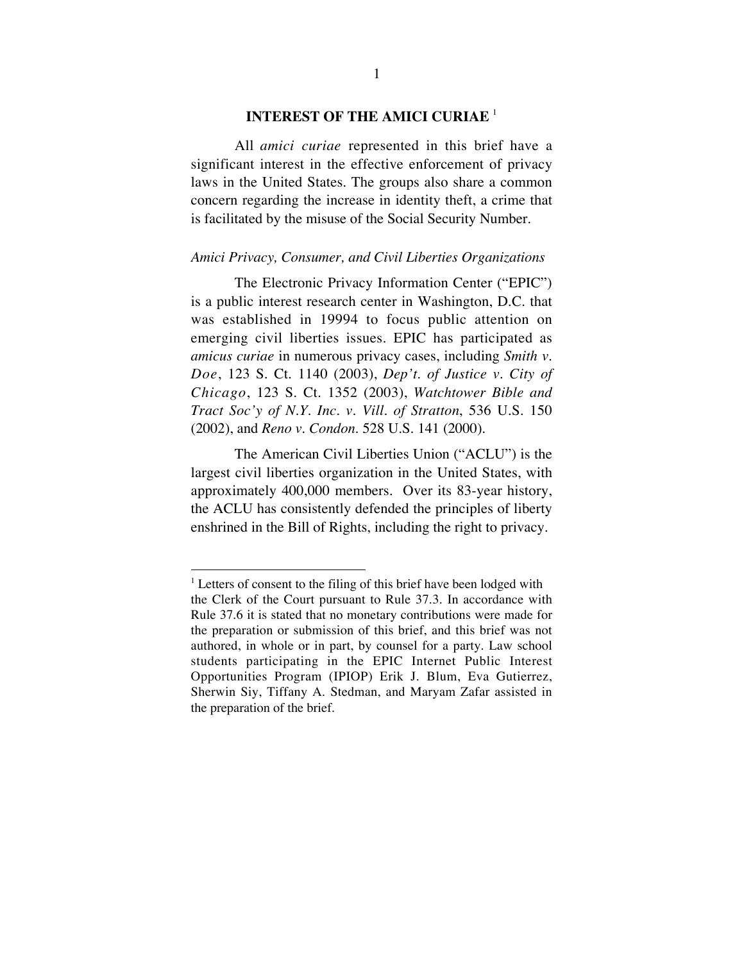## **INTEREST OF THE AMICI CURIAE** <sup>1</sup>

All *amici curiae* represented in this brief have a significant interest in the effective enforcement of privacy laws in the United States. The groups also share a common concern regarding the increase in identity theft, a crime that is facilitated by the misuse of the Social Security Number.

#### *Amici Privacy, Consumer, and Civil Liberties Organizations*

The Electronic Privacy Information Center ("EPIC") is a public interest research center in Washington, D.C. that was established in 19994 to focus public attention on emerging civil liberties issues. EPIC has participated as *amicus curiae* in numerous privacy cases, including *Smith v. Doe*, 123 S. Ct. 1140 (2003), *Dep't. of Justice v. City of Chicago*, 123 S. Ct. 1352 (2003), *Watchtower Bible and Tract Soc'y of N.Y. Inc. v. Vill. of Stratton*, 536 U.S. 150 (2002), and *Reno v. Condon*. 528 U.S. 141 (2000).

The American Civil Liberties Union ("ACLU") is the largest civil liberties organization in the United States, with approximately 400,000 members. Over its 83-year history, the ACLU has consistently defended the principles of liberty enshrined in the Bill of Rights, including the right to privacy.

 $\frac{1}{1}$  $\frac{1}{1}$  Letters of consent to the filing of this brief have been lodged with the Clerk of the Court pursuant to Rule 37.3. In accordance with Rule 37.6 it is stated that no monetary contributions were made for the preparation or submission of this brief, and this brief was not authored, in whole or in part, by counsel for a party. Law school students participating in the EPIC Internet Public Interest Opportunities Program (IPIOP) Erik J. Blum, Eva Gutierrez, Sherwin Siy, Tiffany A. Stedman, and Maryam Zafar assisted in the preparation of the brief.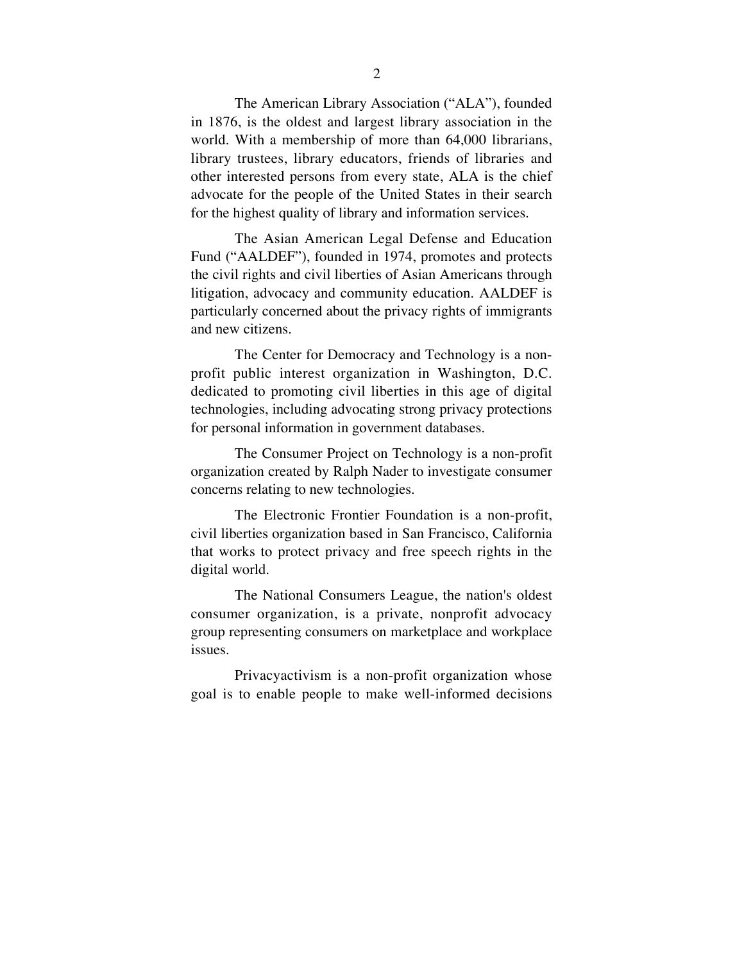The American Library Association ("ALA"), founded in 1876, is the oldest and largest library association in the world. With a membership of more than 64,000 librarians, library trustees, library educators, friends of libraries and other interested persons from every state, ALA is the chief advocate for the people of the United States in their search for the highest quality of library and information services.

The Asian American Legal Defense and Education Fund ("AALDEF"), founded in 1974, promotes and protects the civil rights and civil liberties of Asian Americans through litigation, advocacy and community education. AALDEF is particularly concerned about the privacy rights of immigrants and new citizens.

The Center for Democracy and Technology is a nonprofit public interest organization in Washington, D.C. dedicated to promoting civil liberties in this age of digital technologies, including advocating strong privacy protections for personal information in government databases.

The Consumer Project on Technology is a non-profit organization created by Ralph Nader to investigate consumer concerns relating to new technologies.

The Electronic Frontier Foundation is a non-profit, civil liberties organization based in San Francisco, California that works to protect privacy and free speech rights in the digital world.

The National Consumers League, the nation's oldest consumer organization, is a private, nonprofit advocacy group representing consumers on marketplace and workplace issues.

Privacyactivism is a non-profit organization whose goal is to enable people to make well-informed decisions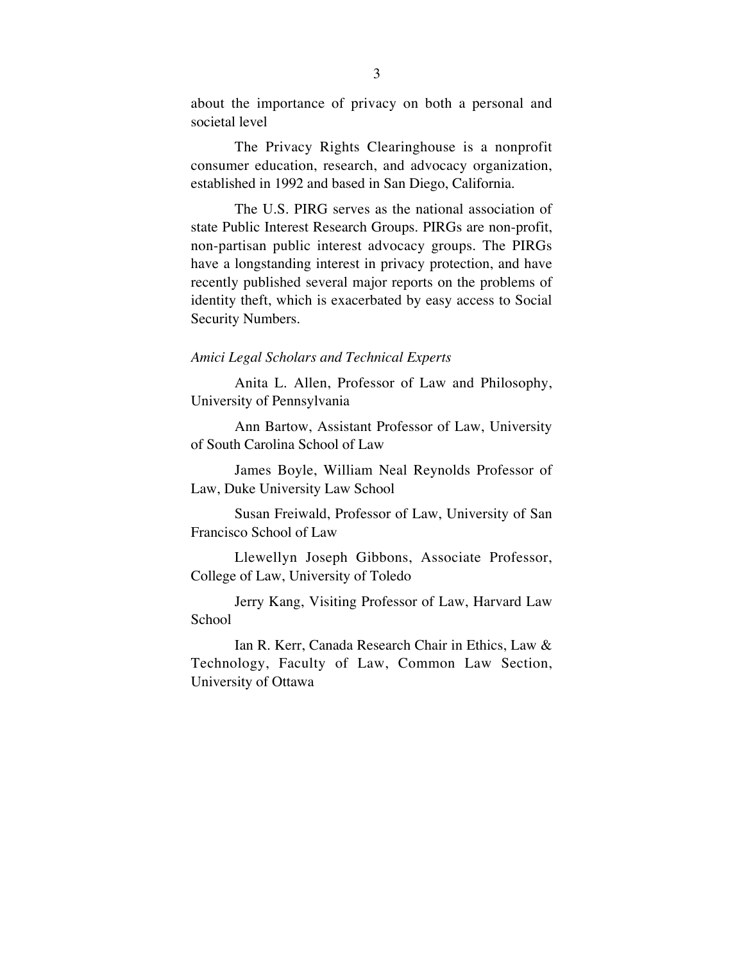about the importance of privacy on both a personal and societal level

The Privacy Rights Clearinghouse is a nonprofit consumer education, research, and advocacy organization, established in 1992 and based in San Diego, California.

The U.S. PIRG serves as the national association of state Public Interest Research Groups. PIRGs are non-profit, non-partisan public interest advocacy groups. The PIRGs have a longstanding interest in privacy protection, and have recently published several major reports on the problems of identity theft, which is exacerbated by easy access to Social Security Numbers.

### *Amici Legal Scholars and Technical Experts*

Anita L. Allen, Professor of Law and Philosophy, University of Pennsylvania

Ann Bartow, Assistant Professor of Law, University of South Carolina School of Law

James Boyle, William Neal Reynolds Professor of Law, Duke University Law School

Susan Freiwald, Professor of Law, University of San Francisco School of Law

Llewellyn Joseph Gibbons, Associate Professor, College of Law, University of Toledo

Jerry Kang, Visiting Professor of Law, Harvard Law **School** 

Ian R. Kerr, Canada Research Chair in Ethics, Law & Technology, Faculty of Law, Common Law Section, University of Ottawa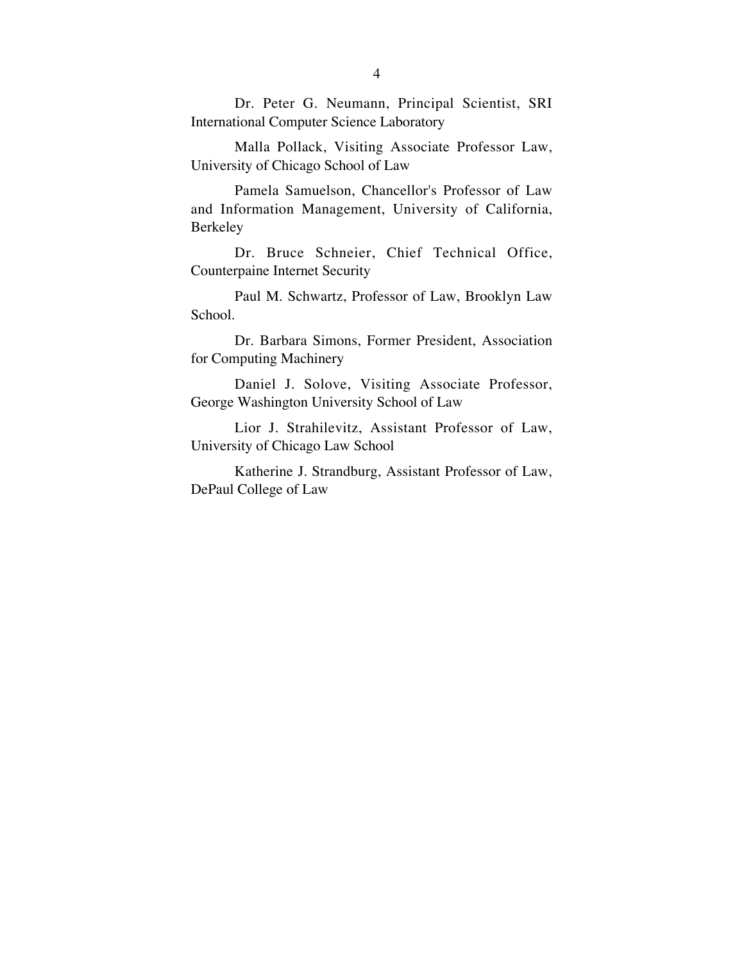Dr. Peter G. Neumann, Principal Scientist, SRI International Computer Science Laboratory

Malla Pollack, Visiting Associate Professor Law, University of Chicago School of Law

Pamela Samuelson, Chancellor's Professor of Law and Information Management, University of California, Berkeley

Dr. Bruce Schneier, Chief Technical Office, Counterpaine Internet Security

Paul M. Schwartz, Professor of Law, Brooklyn Law School.

Dr. Barbara Simons, Former President, Association for Computing Machinery

Daniel J. Solove, Visiting Associate Professor, George Washington University School of Law

Lior J. Strahilevitz, Assistant Professor of Law, University of Chicago Law School

Katherine J. Strandburg, Assistant Professor of Law, DePaul College of Law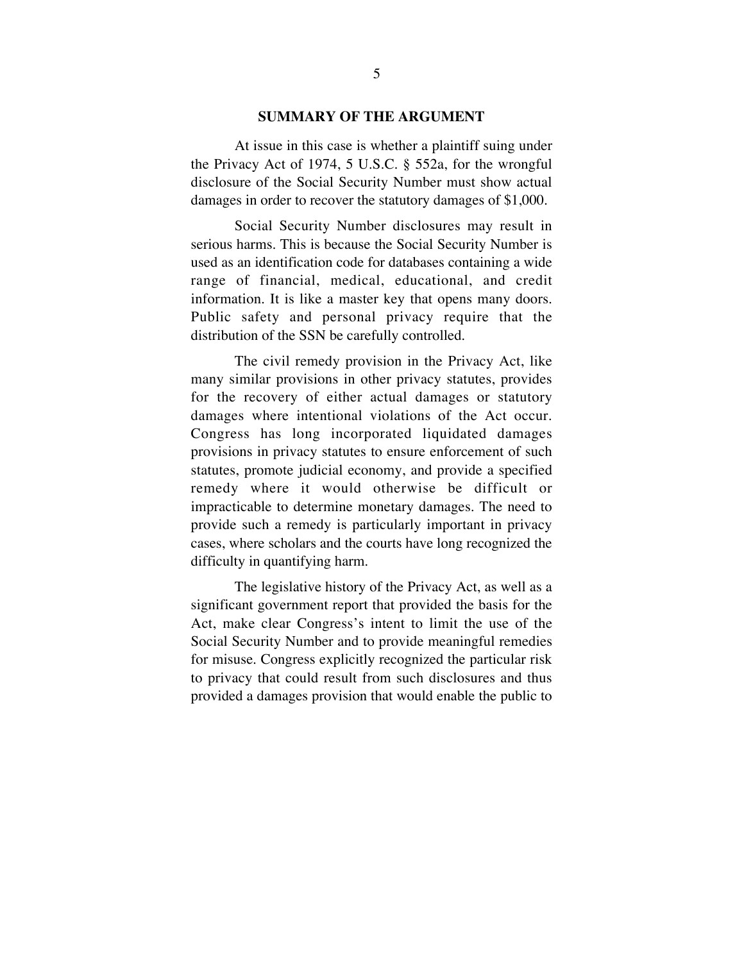### **SUMMARY OF THE ARGUMENT**

At issue in this case is whether a plaintiff suing under the Privacy Act of 1974, 5 U.S.C. § 552a, for the wrongful disclosure of the Social Security Number must show actual damages in order to recover the statutory damages of \$1,000.

Social Security Number disclosures may result in serious harms. This is because the Social Security Number is used as an identification code for databases containing a wide range of financial, medical, educational, and credit information. It is like a master key that opens many doors. Public safety and personal privacy require that the distribution of the SSN be carefully controlled.

The civil remedy provision in the Privacy Act, like many similar provisions in other privacy statutes, provides for the recovery of either actual damages or statutory damages where intentional violations of the Act occur. Congress has long incorporated liquidated damages provisions in privacy statutes to ensure enforcement of such statutes, promote judicial economy, and provide a specified remedy where it would otherwise be difficult or impracticable to determine monetary damages. The need to provide such a remedy is particularly important in privacy cases, where scholars and the courts have long recognized the difficulty in quantifying harm.

The legislative history of the Privacy Act, as well as a significant government report that provided the basis for the Act, make clear Congress's intent to limit the use of the Social Security Number and to provide meaningful remedies for misuse. Congress explicitly recognized the particular risk to privacy that could result from such disclosures and thus provided a damages provision that would enable the public to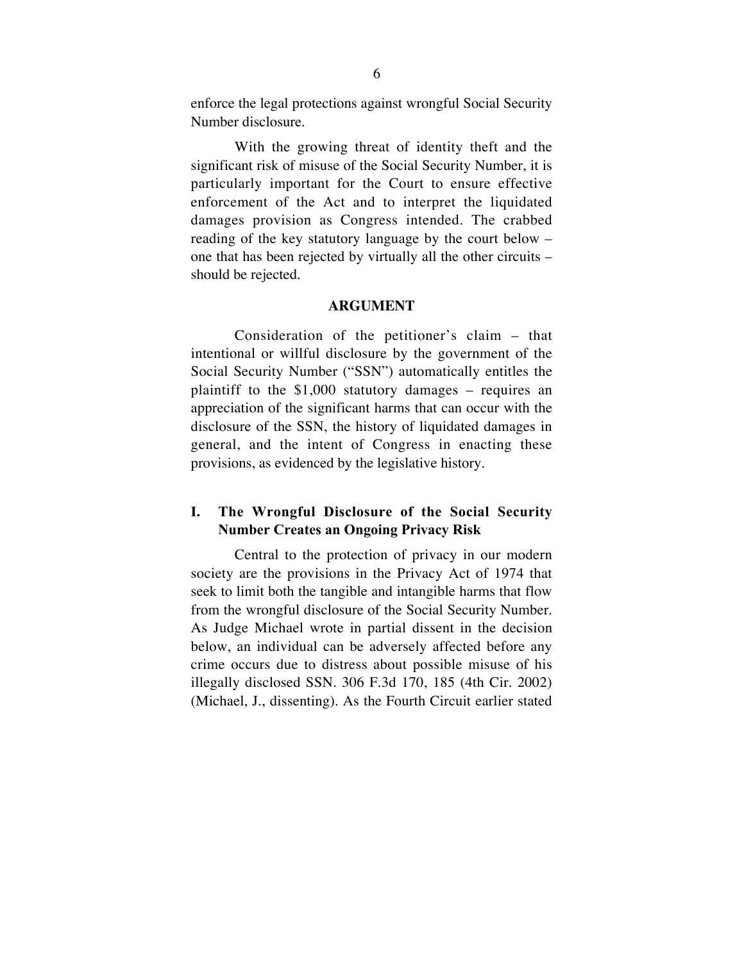enforce the legal protections against wrongful Social Security Number disclosure.

With the growing threat of identity theft and the significant risk of misuse of the Social Security Number, it is particularly important for the Court to ensure effective enforcement of the Act and to interpret the liquidated damages provision as Congress intended. The crabbed reading of the key statutory language by the court below – one that has been rejected by virtually all the other circuits – should be rejected.

#### **ARGUMENT**

Consideration of the petitioner's claim – that intentional or willful disclosure by the government of the Social Security Number ("SSN") automatically entitles the plaintiff to the \$1,000 statutory damages – requires an appreciation of the significant harms that can occur with the disclosure of the SSN, the history of liquidated damages in general, and the intent of Congress in enacting these provisions, as evidenced by the legislative history.

## **I. The Wrongful Disclosure of the Social Security Number Creates an Ongoing Privacy Risk**

Central to the protection of privacy in our modern society are the provisions in the Privacy Act of 1974 that seek to limit both the tangible and intangible harms that flow from the wrongful disclosure of the Social Security Number. As Judge Michael wrote in partial dissent in the decision below, an individual can be adversely affected before any crime occurs due to distress about possible misuse of his illegally disclosed SSN. 306 F.3d 170, 185 (4th Cir. 2002) (Michael, J., dissenting). As the Fourth Circuit earlier stated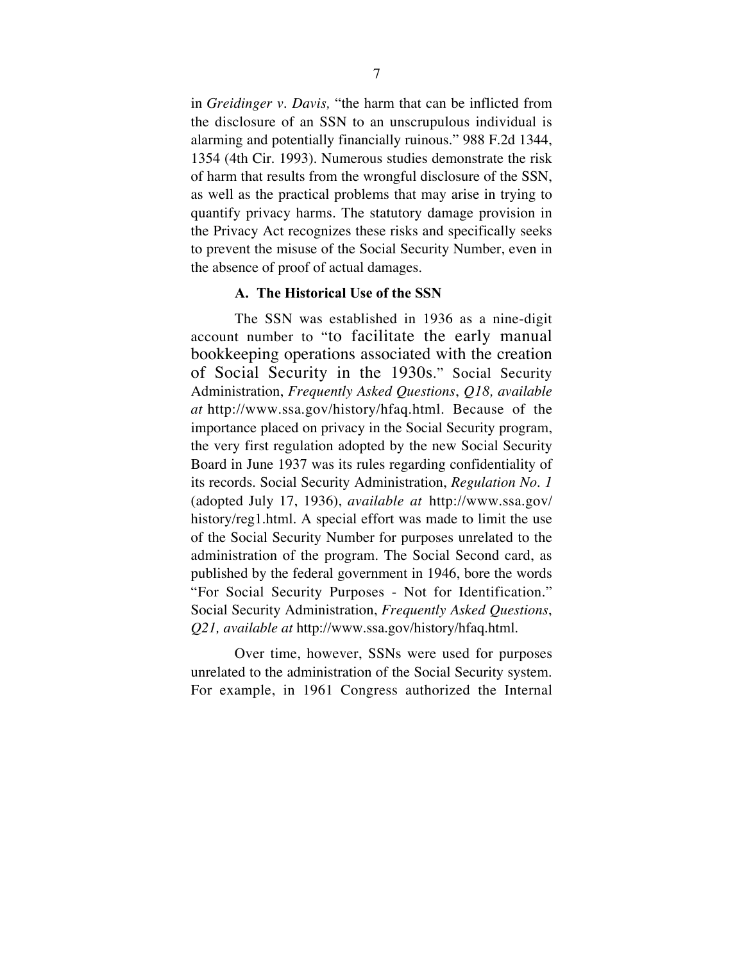in *Greidinger v. Davis,* "the harm that can be inflicted from the disclosure of an SSN to an unscrupulous individual is alarming and potentially financially ruinous." 988 F.2d 1344, 1354 (4th Cir. 1993). Numerous studies demonstrate the risk of harm that results from the wrongful disclosure of the SSN, as well as the practical problems that may arise in trying to quantify privacy harms. The statutory damage provision in the Privacy Act recognizes these risks and specifically seeks to prevent the misuse of the Social Security Number, even in the absence of proof of actual damages.

## **A. The Historical Use of the SSN**

The SSN was established in 1936 as a nine-digit account number to "to facilitate the early manual bookkeeping operations associated with the creation of Social Security in the 1930s." Social Security Administration, *Frequently Asked Questions*, *Q18, available at* http://www.ssa.gov/history/hfaq.html. Because of the importance placed on privacy in the Social Security program, the very first regulation adopted by the new Social Security Board in June 1937 was its rules regarding confidentiality of its records. Social Security Administration, *Regulation No. 1* (adopted July 17, 1936), *available at* http://www.ssa.gov/ history/reg1.html. A special effort was made to limit the use of the Social Security Number for purposes unrelated to the administration of the program. The Social Second card, as published by the federal government in 1946, bore the words "For Social Security Purposes - Not for Identification." Social Security Administration, *Frequently Asked Questions*, *Q21, available at* http://www.ssa.gov/history/hfaq.html.

Over time, however, SSNs were used for purposes unrelated to the administration of the Social Security system. For example, in 1961 Congress authorized the Internal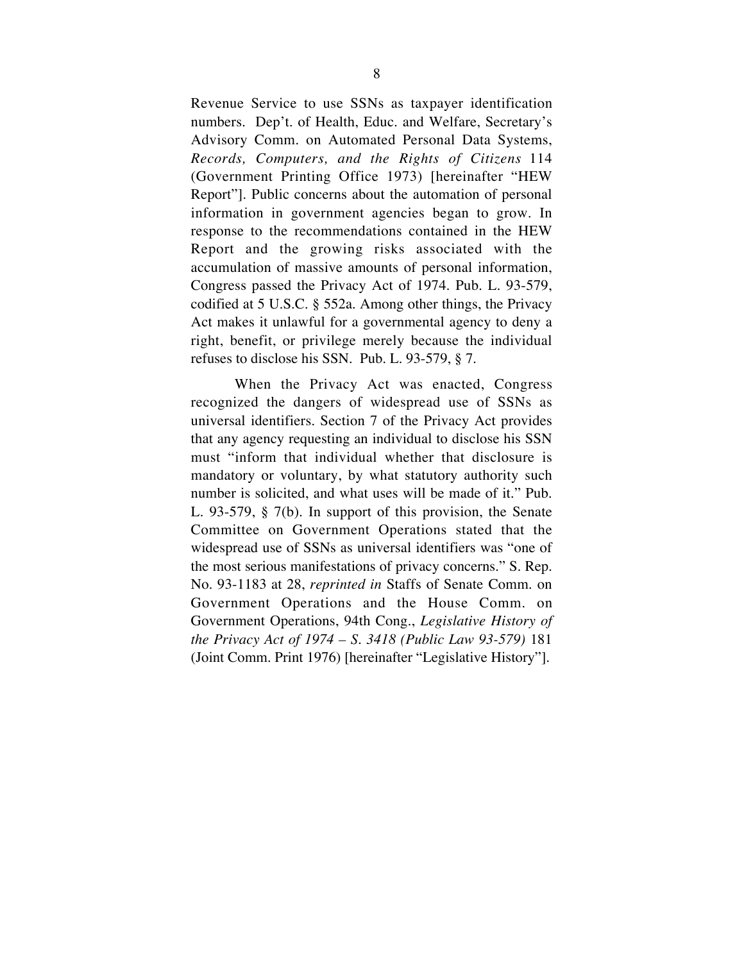Revenue Service to use SSNs as taxpayer identification numbers. Dep't. of Health, Educ. and Welfare, Secretary's Advisory Comm. on Automated Personal Data Systems, *Records, Computers, and the Rights of Citizens* 114 (Government Printing Office 1973) [hereinafter "HEW Report"]. Public concerns about the automation of personal information in government agencies began to grow. In response to the recommendations contained in the HEW Report and the growing risks associated with the accumulation of massive amounts of personal information, Congress passed the Privacy Act of 1974. Pub. L. 93-579, codified at 5 U.S.C. § 552a. Among other things, the Privacy Act makes it unlawful for a governmental agency to deny a right, benefit, or privilege merely because the individual refuses to disclose his SSN. Pub. L. 93-579, § 7.

When the Privacy Act was enacted, Congress recognized the dangers of widespread use of SSNs as universal identifiers. Section 7 of the Privacy Act provides that any agency requesting an individual to disclose his SSN must "inform that individual whether that disclosure is mandatory or voluntary, by what statutory authority such number is solicited, and what uses will be made of it." Pub. L. 93-579, § 7(b). In support of this provision, the Senate Committee on Government Operations stated that the widespread use of SSNs as universal identifiers was "one of the most serious manifestations of privacy concerns." S. Rep. No. 93-1183 at 28, *reprinted in* Staffs of Senate Comm. on Government Operations and the House Comm. on Government Operations, 94th Cong., *Legislative History of the Privacy Act of 1974 – S. 3418 (Public Law 93-579)* 181 (Joint Comm. Print 1976) [hereinafter "Legislative History"].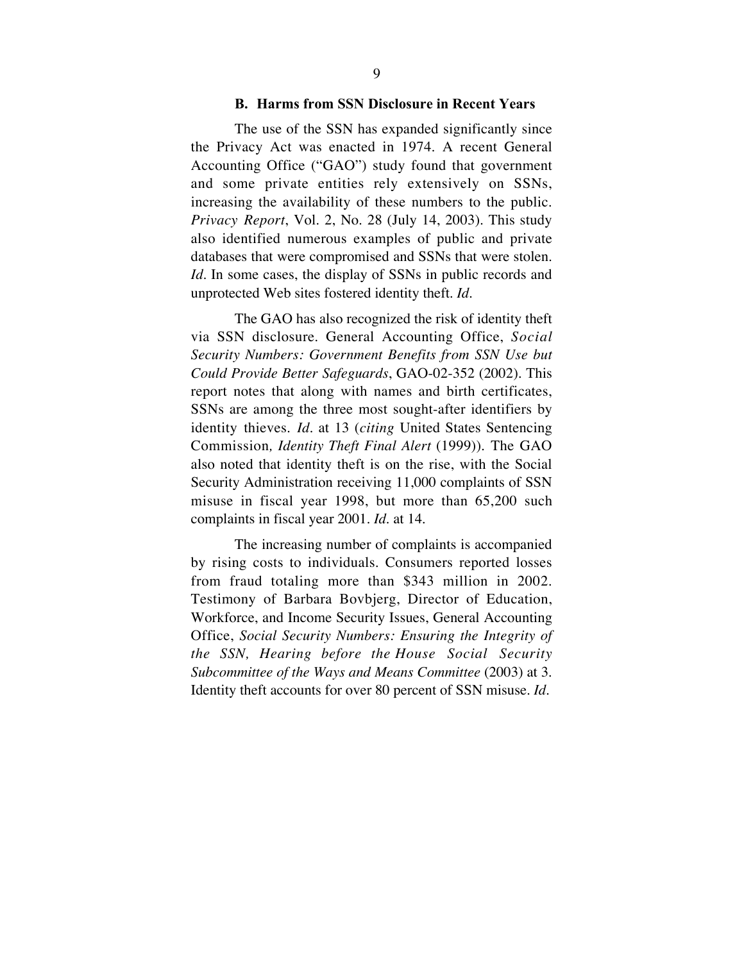#### **B. Harms from SSN Disclosure in Recent Years**

The use of the SSN has expanded significantly since the Privacy Act was enacted in 1974. A recent General Accounting Office ("GAO") study found that government and some private entities rely extensively on SSNs, increasing the availability of these numbers to the public. *Privacy Report*, Vol. 2, No. 28 (July 14, 2003). This study also identified numerous examples of public and private databases that were compromised and SSNs that were stolen. *Id.* In some cases, the display of SSNs in public records and unprotected Web sites fostered identity theft. *Id.*

The GAO has also recognized the risk of identity theft via SSN disclosure. General Accounting Office, *Social Security Numbers: Government Benefits from SSN Use but Could Provide Better Safeguards*, GAO-02-352 (2002). This report notes that along with names and birth certificates, SSNs are among the three most sought-after identifiers by identity thieves. *Id.* at 13 (*citing* United States Sentencing Commission*, Identity Theft Final Alert* (1999)). The GAO also noted that identity theft is on the rise, with the Social Security Administration receiving 11,000 complaints of SSN misuse in fiscal year 1998, but more than 65,200 such complaints in fiscal year 2001. *Id.* at 14.

The increasing number of complaints is accompanied by rising costs to individuals. Consumers reported losses from fraud totaling more than \$343 million in 2002. Testimony of Barbara Bovbjerg, Director of Education, Workforce, and Income Security Issues, General Accounting Office, *Social Security Numbers: Ensuring the Integrity of the SSN, Hearing before the House Social Security Subcommittee of the Ways and Means Committee* (2003) at 3. Identity theft accounts for over 80 percent of SSN misuse. *Id.*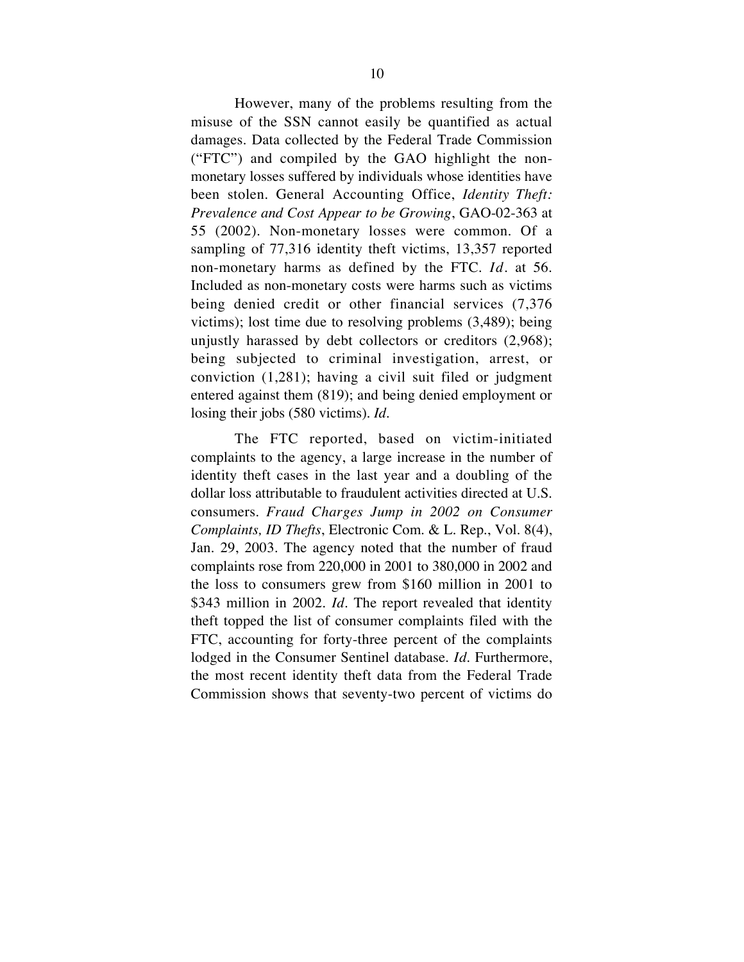However, many of the problems resulting from the misuse of the SSN cannot easily be quantified as actual damages. Data collected by the Federal Trade Commission ("FTC") and compiled by the GAO highlight the nonmonetary losses suffered by individuals whose identities have been stolen. General Accounting Office, *Identity Theft: Prevalence and Cost Appear to be Growing*, GAO-02-363 at 55 (2002). Non-monetary losses were common. Of a sampling of 77,316 identity theft victims, 13,357 reported non-monetary harms as defined by the FTC. *Id*. at 56. Included as non-monetary costs were harms such as victims being denied credit or other financial services (7,376 victims); lost time due to resolving problems (3,489); being unjustly harassed by debt collectors or creditors (2,968); being subjected to criminal investigation, arrest, or conviction (1,281); having a civil suit filed or judgment entered against them (819); and being denied employment or losing their jobs (580 victims). *Id.*

The FTC reported, based on victim-initiated complaints to the agency, a large increase in the number of identity theft cases in the last year and a doubling of the dollar loss attributable to fraudulent activities directed at U.S. consumers. *Fraud Charges Jump in 2002 on Consumer Complaints, ID Thefts*, Electronic Com. & L. Rep., Vol. 8(4), Jan. 29, 2003. The agency noted that the number of fraud complaints rose from 220,000 in 2001 to 380,000 in 2002 and the loss to consumers grew from \$160 million in 2001 to \$343 million in 2002. *Id*. The report revealed that identity theft topped the list of consumer complaints filed with the FTC, accounting for forty-three percent of the complaints lodged in the Consumer Sentinel database. *Id*. Furthermore, the most recent identity theft data from the Federal Trade Commission shows that seventy-two percent of victims do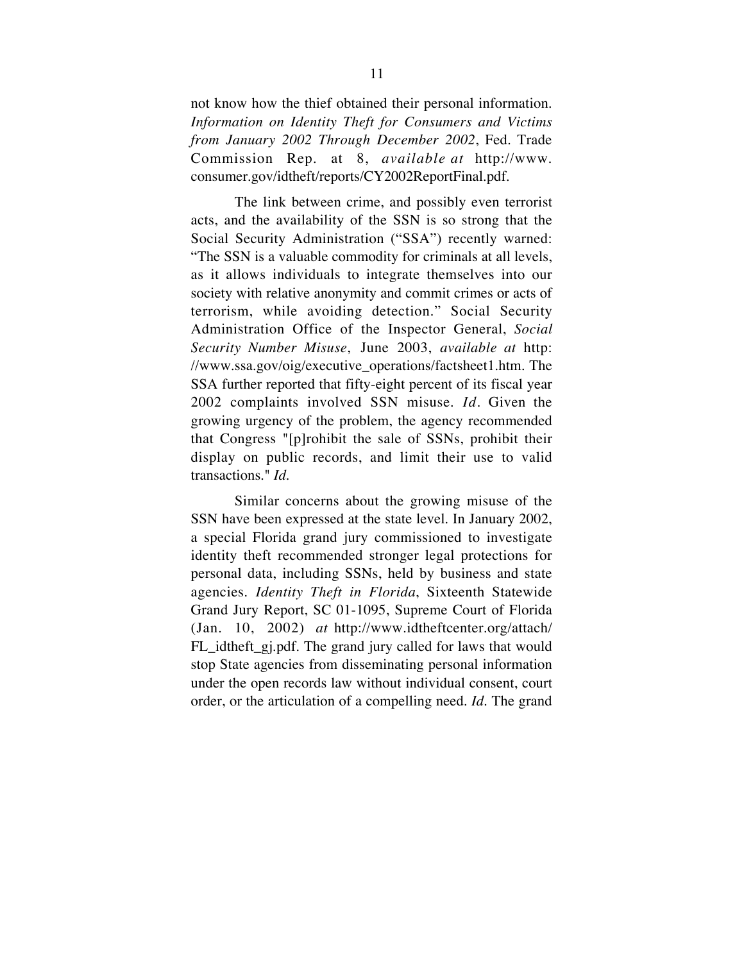not know how the thief obtained their personal information. *Information on Identity Theft for Consumers and Victims from January 2002 Through December 2002*, Fed. Trade Commission Rep. at 8, *available at* http://www. consumer.gov/idtheft/reports/CY2002ReportFinal.pdf.

The link between crime, and possibly even terrorist acts, and the availability of the SSN is so strong that the Social Security Administration ("SSA") recently warned: "The SSN is a valuable commodity for criminals at all levels, as it allows individuals to integrate themselves into our society with relative anonymity and commit crimes or acts of terrorism, while avoiding detection." Social Security Administration Office of the Inspector General, *Social Security Number Misuse*, June 2003, *available at* http: //www.ssa.gov/oig/executive\_operations/factsheet1.htm. The SSA further reported that fifty-eight percent of its fiscal year 2002 complaints involved SSN misuse. *Id*. Given the growing urgency of the problem, the agency recommended that Congress "[p]rohibit the sale of SSNs, prohibit their display on public records, and limit their use to valid transactions." *Id*.

Similar concerns about the growing misuse of the SSN have been expressed at the state level. In January 2002, a special Florida grand jury commissioned to investigate identity theft recommended stronger legal protections for personal data, including SSNs, held by business and state agencies. *Identity Theft in Florida*, Sixteenth Statewide Grand Jury Report, SC 01-1095, Supreme Court of Florida (Jan. 10, 2002) *at* http://www.idtheftcenter.org/attach/ FL\_idtheft\_gj.pdf. The grand jury called for laws that would stop State agencies from disseminating personal information under the open records law without individual consent, court order, or the articulation of a compelling need. *Id*. The grand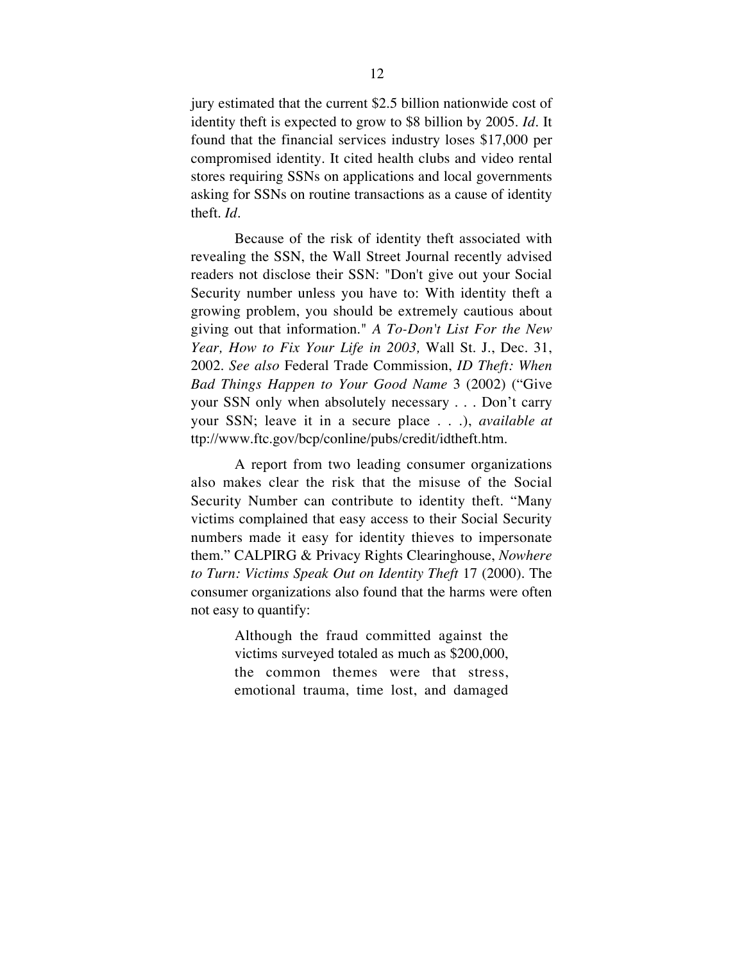jury estimated that the current \$2.5 billion nationwide cost of identity theft is expected to grow to \$8 billion by 2005. *Id*. It found that the financial services industry loses \$17,000 per compromised identity. It cited health clubs and video rental stores requiring SSNs on applications and local governments asking for SSNs on routine transactions as a cause of identity theft. *Id*.

Because of the risk of identity theft associated with revealing the SSN, the Wall Street Journal recently advised readers not disclose their SSN: "Don't give out your Social Security number unless you have to: With identity theft a growing problem, you should be extremely cautious about giving out that information." *A To-Don't List For the New Year, How to Fix Your Life in 2003,* Wall St. J., Dec. 31, 2002. *See also* Federal Trade Commission, *ID Theft: When Bad Things Happen to Your Good Name* 3 (2002) ("Give your SSN only when absolutely necessary . . . Don't carry your SSN; leave it in a secure place . . .), *available at* ttp://www.ftc.gov/bcp/conline/pubs/credit/idtheft.htm.

A report from two leading consumer organizations also makes clear the risk that the misuse of the Social Security Number can contribute to identity theft. "Many victims complained that easy access to their Social Security numbers made it easy for identity thieves to impersonate them." CALPIRG & Privacy Rights Clearinghouse, *Nowhere to Turn: Victims Speak Out on Identity Theft* 17 (2000). The consumer organizations also found that the harms were often not easy to quantify:

> Although the fraud committed against the victims surveyed totaled as much as \$200,000, the common themes were that stress, emotional trauma, time lost, and damaged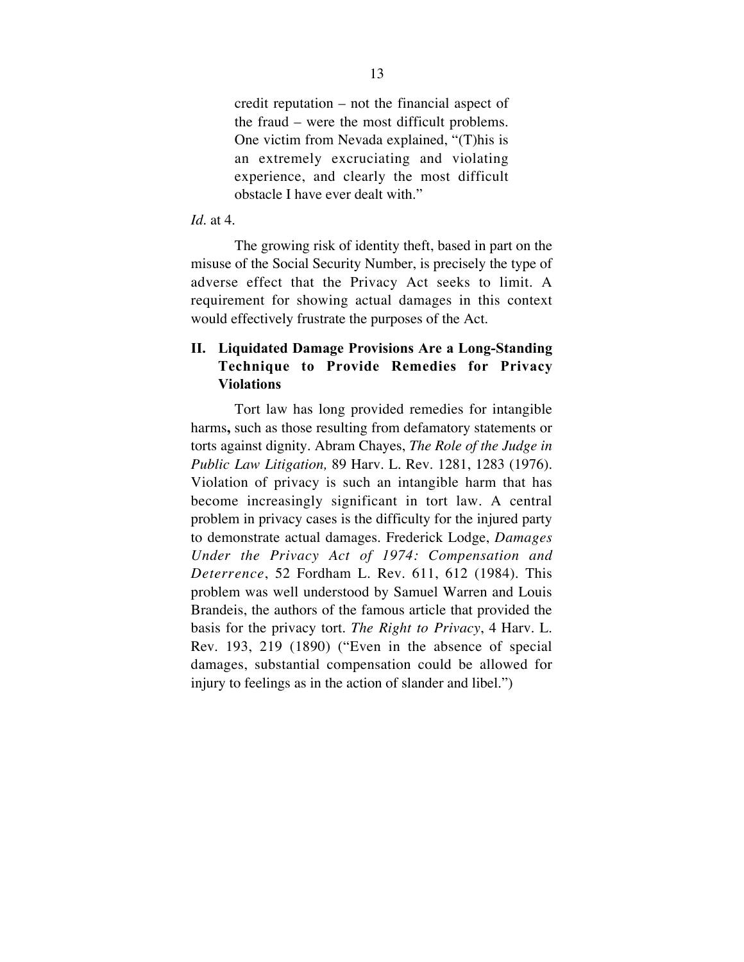credit reputation – not the financial aspect of the fraud – were the most difficult problems. One victim from Nevada explained, "(T)his is an extremely excruciating and violating experience, and clearly the most difficult obstacle I have ever dealt with."

## *Id.* at 4.

The growing risk of identity theft, based in part on the misuse of the Social Security Number, is precisely the type of adverse effect that the Privacy Act seeks to limit. A requirement for showing actual damages in this context would effectively frustrate the purposes of the Act.

## **II. Liquidated Damage Provisions Are a Long-Standing Technique to Provide Remedies for Privacy Violations**

Tort law has long provided remedies for intangible harms**,** such as those resulting from defamatory statements or torts against dignity. Abram Chayes, *The Role of the Judge in Public Law Litigation,* 89 Harv. L. Rev. 1281, 1283 (1976). Violation of privacy is such an intangible harm that has become increasingly significant in tort law. A central problem in privacy cases is the difficulty for the injured party to demonstrate actual damages. Frederick Lodge, *Damages Under the Privacy Act of 1974: Compensation and Deterrence*, 52 Fordham L. Rev. 611, 612 (1984). This problem was well understood by Samuel Warren and Louis Brandeis, the authors of the famous article that provided the basis for the privacy tort. *The Right to Privacy*, 4 Harv. L. Rev. 193, 219 (1890) ("Even in the absence of special damages, substantial compensation could be allowed for injury to feelings as in the action of slander and libel.")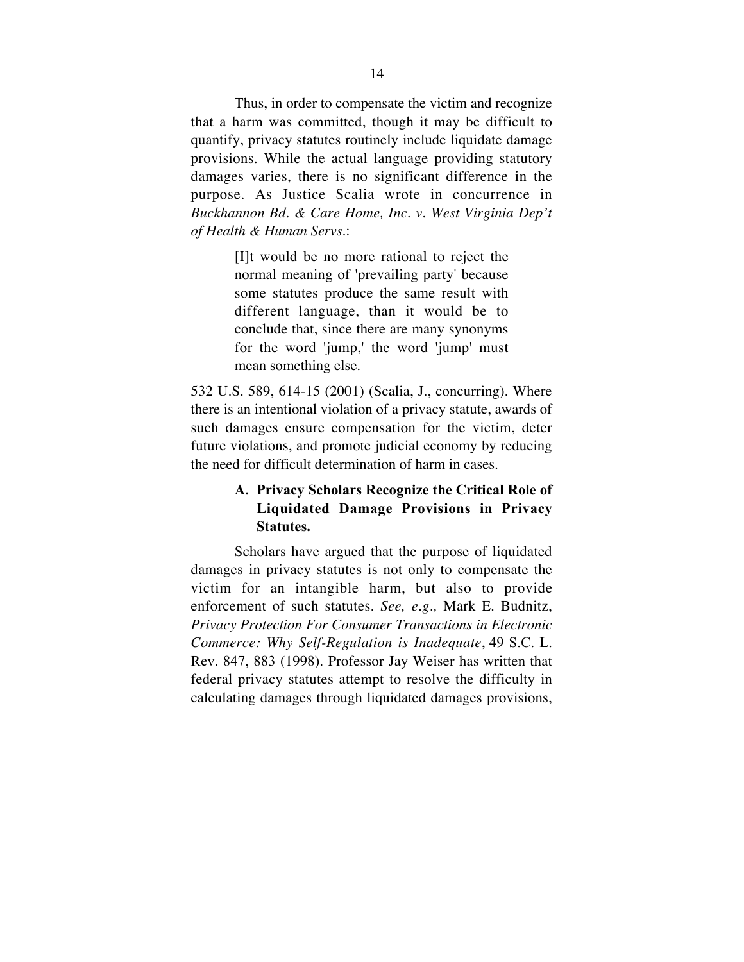Thus, in order to compensate the victim and recognize that a harm was committed, though it may be difficult to quantify, privacy statutes routinely include liquidate damage provisions. While the actual language providing statutory damages varies, there is no significant difference in the purpose. As Justice Scalia wrote in concurrence in *Buckhannon Bd. & Care Home, Inc. v. West Virginia Dep't of Health & Human Servs.*:

> [I]t would be no more rational to reject the normal meaning of 'prevailing party' because some statutes produce the same result with different language, than it would be to conclude that, since there are many synonyms for the word 'jump,' the word 'jump' must mean something else.

532 U.S. 589, 614-15 (2001) (Scalia, J., concurring). Where there is an intentional violation of a privacy statute, awards of such damages ensure compensation for the victim, deter future violations, and promote judicial economy by reducing the need for difficult determination of harm in cases.

# **A. Privacy Scholars Recognize the Critical Role of Liquidated Damage Provisions in Privacy Statutes.**

Scholars have argued that the purpose of liquidated damages in privacy statutes is not only to compensate the victim for an intangible harm, but also to provide enforcement of such statutes. *See, e.g.,* Mark E. Budnitz, *Privacy Protection For Consumer Transactions in Electronic Commerce: Why Self-Regulation is Inadequate*, 49 S.C. L. Rev. 847, 883 (1998). Professor Jay Weiser has written that federal privacy statutes attempt to resolve the difficulty in calculating damages through liquidated damages provisions,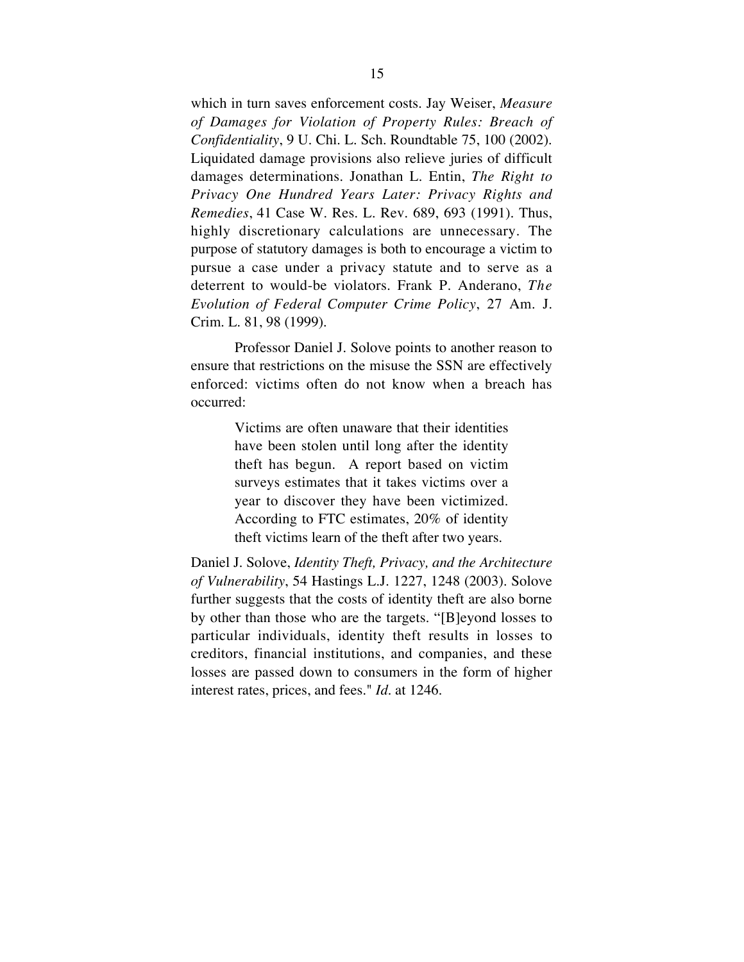which in turn saves enforcement costs. Jay Weiser, *Measure of Damages for Violation of Property Rules: Breach of Confidentiality*, 9 U. Chi. L. Sch. Roundtable 75, 100 (2002). Liquidated damage provisions also relieve juries of difficult damages determinations. Jonathan L. Entin, *The Right to Privacy One Hundred Years Later: Privacy Rights and Remedies*, 41 Case W. Res. L. Rev. 689, 693 (1991). Thus, highly discretionary calculations are unnecessary. The purpose of statutory damages is both to encourage a victim to pursue a case under a privacy statute and to serve as a deterrent to would-be violators. Frank P. Anderano, *The Evolution of Federal Computer Crime Policy*, 27 Am. J. Crim. L. 81, 98 (1999).

Professor Daniel J. Solove points to another reason to ensure that restrictions on the misuse the SSN are effectively enforced: victims often do not know when a breach has occurred:

> Victims are often unaware that their identities have been stolen until long after the identity theft has begun. A report based on victim surveys estimates that it takes victims over a year to discover they have been victimized. According to FTC estimates, 20% of identity theft victims learn of the theft after two years.

Daniel J. Solove, *Identity Theft, Privacy, and the Architecture of Vulnerability*, 54 Hastings L.J. 1227, 1248 (2003). Solove further suggests that the costs of identity theft are also borne by other than those who are the targets. "[B]eyond losses to particular individuals, identity theft results in losses to creditors, financial institutions, and companies, and these losses are passed down to consumers in the form of higher interest rates, prices, and fees." *Id*. at 1246.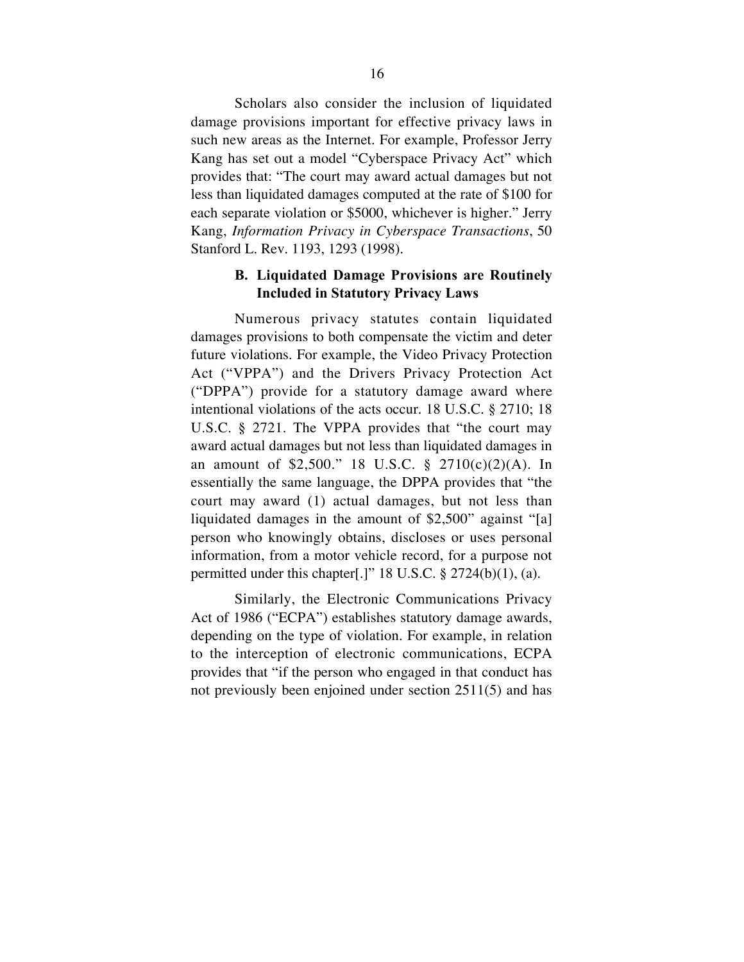Scholars also consider the inclusion of liquidated damage provisions important for effective privacy laws in such new areas as the Internet. For example, Professor Jerry Kang has set out a model "Cyberspace Privacy Act" which provides that: "The court may award actual damages but not less than liquidated damages computed at the rate of \$100 for each separate violation or \$5000, whichever is higher." Jerry Kang, *Information Privacy in Cyberspace Transactions*, 50 Stanford L. Rev. 1193, 1293 (1998).

## **B. Liquidated Damage Provisions are Routinely Included in Statutory Privacy Laws**

Numerous privacy statutes contain liquidated damages provisions to both compensate the victim and deter future violations. For example, the Video Privacy Protection Act ("VPPA") and the Drivers Privacy Protection Act ("DPPA") provide for a statutory damage award where intentional violations of the acts occur. 18 U.S.C. § 2710; 18 U.S.C. § 2721. The VPPA provides that "the court may award actual damages but not less than liquidated damages in an amount of \$2,500." 18 U.S.C. § 2710(c)(2)(A). In essentially the same language, the DPPA provides that "the court may award (1) actual damages, but not less than liquidated damages in the amount of \$2,500" against "[a] person who knowingly obtains, discloses or uses personal information, from a motor vehicle record, for a purpose not permitted under this chapter[.]" 18 U.S.C. § 2724(b)(1), (a).

Similarly, the Electronic Communications Privacy Act of 1986 ("ECPA") establishes statutory damage awards, depending on the type of violation. For example, in relation to the interception of electronic communications, ECPA provides that "if the person who engaged in that conduct has not previously been enjoined under section 2511(5) and has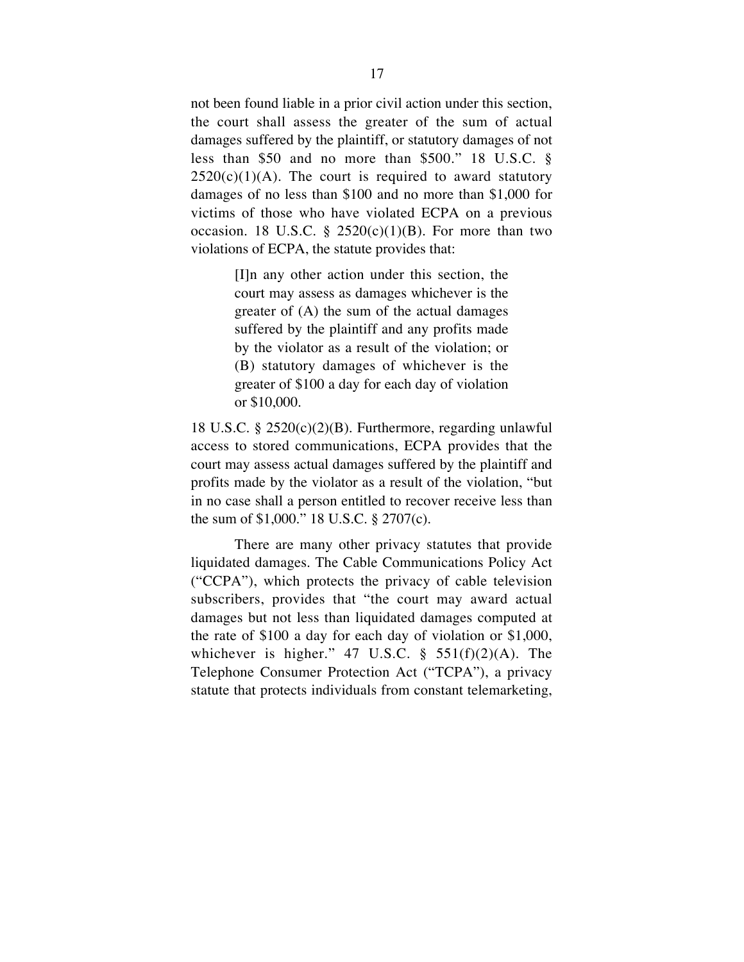not been found liable in a prior civil action under this section, the court shall assess the greater of the sum of actual damages suffered by the plaintiff, or statutory damages of not less than \$50 and no more than \$500." 18 U.S.C. §  $2520(c)(1)(A)$ . The court is required to award statutory damages of no less than \$100 and no more than \$1,000 for victims of those who have violated ECPA on a previous occasion. 18 U.S.C. §  $2520(c)(1)(B)$ . For more than two violations of ECPA, the statute provides that:

> [I]n any other action under this section, the court may assess as damages whichever is the greater of (A) the sum of the actual damages suffered by the plaintiff and any profits made by the violator as a result of the violation; or (B) statutory damages of whichever is the greater of \$100 a day for each day of violation or \$10,000.

18 U.S.C. § 2520(c)(2)(B). Furthermore, regarding unlawful access to stored communications, ECPA provides that the court may assess actual damages suffered by the plaintiff and profits made by the violator as a result of the violation, "but in no case shall a person entitled to recover receive less than the sum of \$1,000." 18 U.S.C. § 2707(c).

There are many other privacy statutes that provide liquidated damages. The Cable Communications Policy Act ("CCPA"), which protects the privacy of cable television subscribers, provides that "the court may award actual damages but not less than liquidated damages computed at the rate of \$100 a day for each day of violation or \$1,000, whichever is higher."  $47 \text{ U.S.C. }$  §  $551(f)(2)(A)$ . The Telephone Consumer Protection Act ("TCPA"), a privacy statute that protects individuals from constant telemarketing,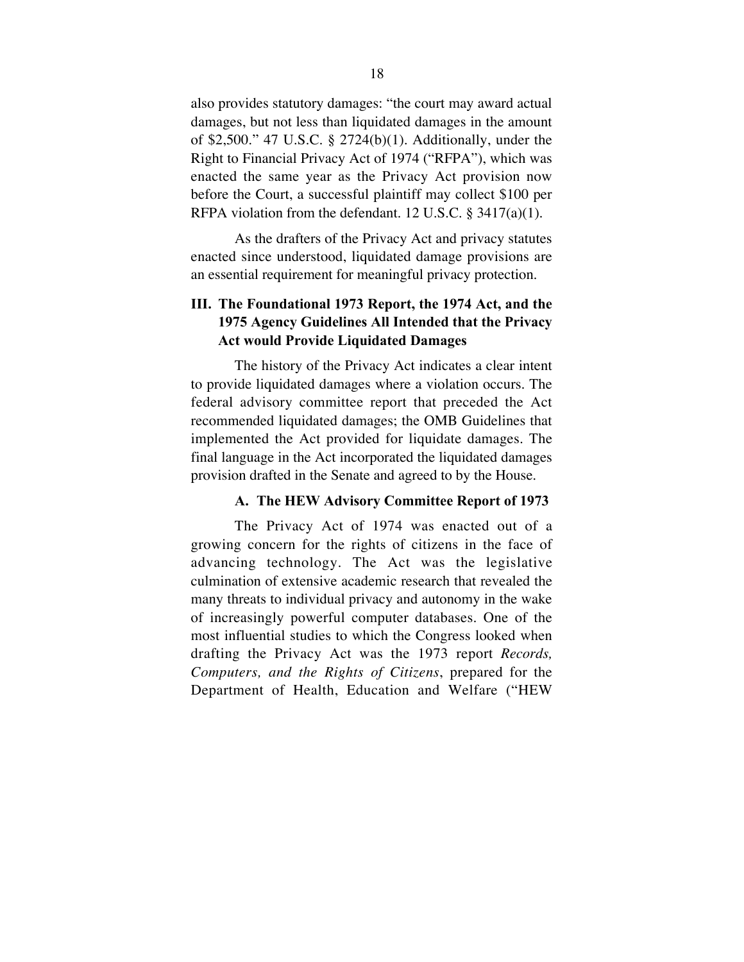also provides statutory damages: "the court may award actual damages, but not less than liquidated damages in the amount of \$2,500." 47 U.S.C. § 2724(b)(1). Additionally, under the Right to Financial Privacy Act of 1974 ("RFPA"), which was enacted the same year as the Privacy Act provision now before the Court, a successful plaintiff may collect \$100 per RFPA violation from the defendant. 12 U.S.C. § 3417(a)(1).

As the drafters of the Privacy Act and privacy statutes enacted since understood, liquidated damage provisions are an essential requirement for meaningful privacy protection.

## **III. The Foundational 1973 Report, the 1974 Act, and the 1975 Agency Guidelines All Intended that the Privacy Act would Provide Liquidated Damages**

The history of the Privacy Act indicates a clear intent to provide liquidated damages where a violation occurs. The federal advisory committee report that preceded the Act recommended liquidated damages; the OMB Guidelines that implemented the Act provided for liquidate damages. The final language in the Act incorporated the liquidated damages provision drafted in the Senate and agreed to by the House.

## **A. The HEW Advisory Committee Report of 1973**

The Privacy Act of 1974 was enacted out of a growing concern for the rights of citizens in the face of advancing technology. The Act was the legislative culmination of extensive academic research that revealed the many threats to individual privacy and autonomy in the wake of increasingly powerful computer databases. One of the most influential studies to which the Congress looked when drafting the Privacy Act was the 1973 report *Records, Computers, and the Rights of Citizens*, prepared for the Department of Health, Education and Welfare ("HEW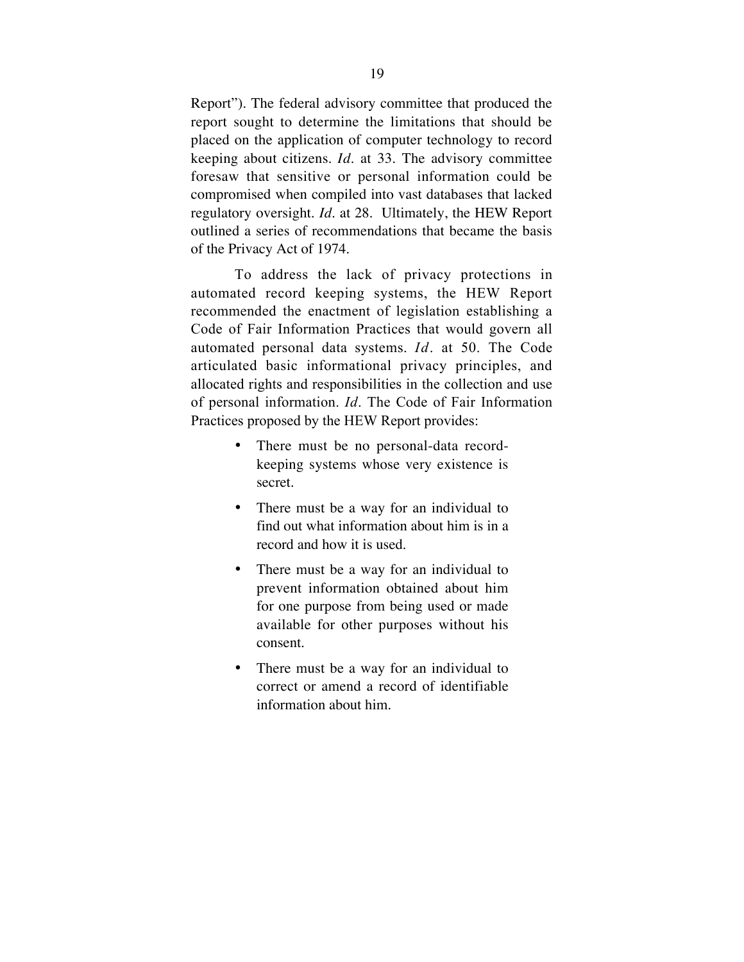Report"). The federal advisory committee that produced the report sought to determine the limitations that should be placed on the application of computer technology to record keeping about citizens. *Id*. at 33. The advisory committee foresaw that sensitive or personal information could be compromised when compiled into vast databases that lacked regulatory oversight. *Id*. at 28. Ultimately, the HEW Report outlined a series of recommendations that became the basis of the Privacy Act of 1974.

To address the lack of privacy protections in automated record keeping systems, the HEW Report recommended the enactment of legislation establishing a Code of Fair Information Practices that would govern all automated personal data systems. *Id*. at 50. The Code articulated basic informational privacy principles, and allocated rights and responsibilities in the collection and use of personal information. *Id*. The Code of Fair Information Practices proposed by the HEW Report provides:

> There must be no personal-data recordkeeping systems whose very existence is secret.

> There must be a way for an individual to find out what information about him is in a record and how it is used.

> There must be a way for an individual to prevent information obtained about him for one purpose from being used or made available for other purposes without his consent.

> There must be a way for an individual to correct or amend a record of identifiable information about him.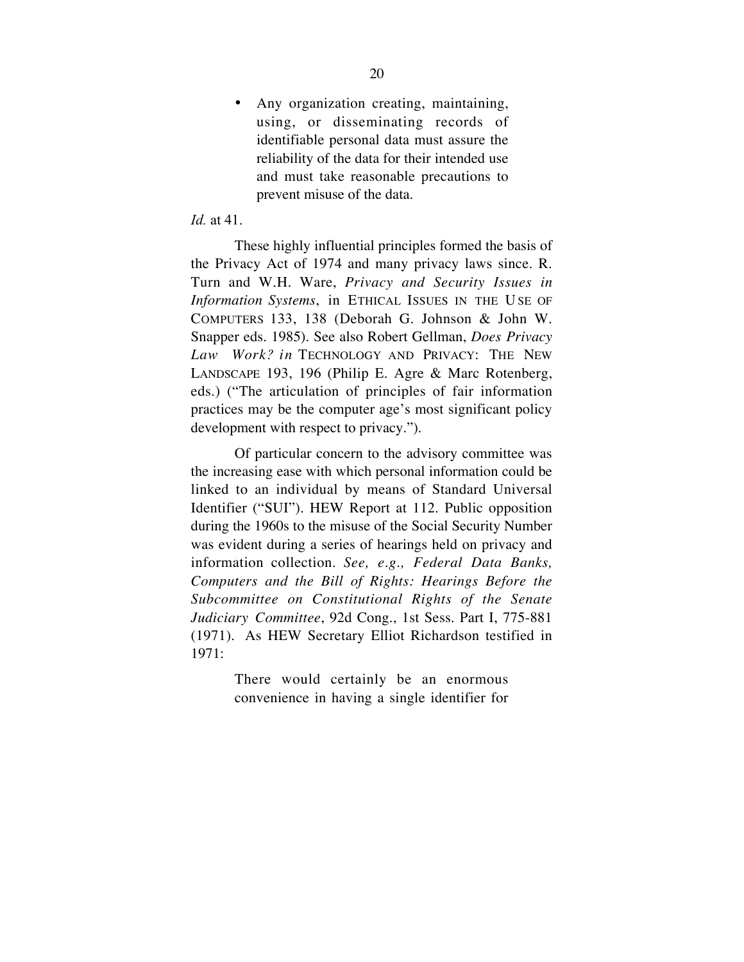Any organization creating, maintaining, using, or disseminating records of identifiable personal data must assure the reliability of the data for their intended use and must take reasonable precautions to prevent misuse of the data.

## *Id.* at 41.

These highly influential principles formed the basis of the Privacy Act of 1974 and many privacy laws since. R. Turn and W.H. Ware, *Privacy and Security Issues in Information Systems*, in ETHICAL ISSUES IN THE USE OF COMPUTERS 133, 138 (Deborah G. Johnson & John W. Snapper eds. 1985). See also Robert Gellman, *Does Privacy Law Work? in* TECHNOLOGY AND PRIVACY: THE NEW LANDSCAPE 193, 196 (Philip E. Agre & Marc Rotenberg, eds.) ("The articulation of principles of fair information practices may be the computer age's most significant policy development with respect to privacy.").

Of particular concern to the advisory committee was the increasing ease with which personal information could be linked to an individual by means of Standard Universal Identifier ("SUI"). HEW Report at 112. Public opposition during the 1960s to the misuse of the Social Security Number was evident during a series of hearings held on privacy and information collection. *See, e.g., Federal Data Banks, Computers and the Bill of Rights: Hearings Before the Subcommittee on Constitutional Rights of the Senate Judiciary Committee*, 92d Cong., 1st Sess. Part I, 775-881 (1971).! As HEW Secretary Elliot Richardson testified in 1971:

> There would certainly be an enormous convenience in having a single identifier for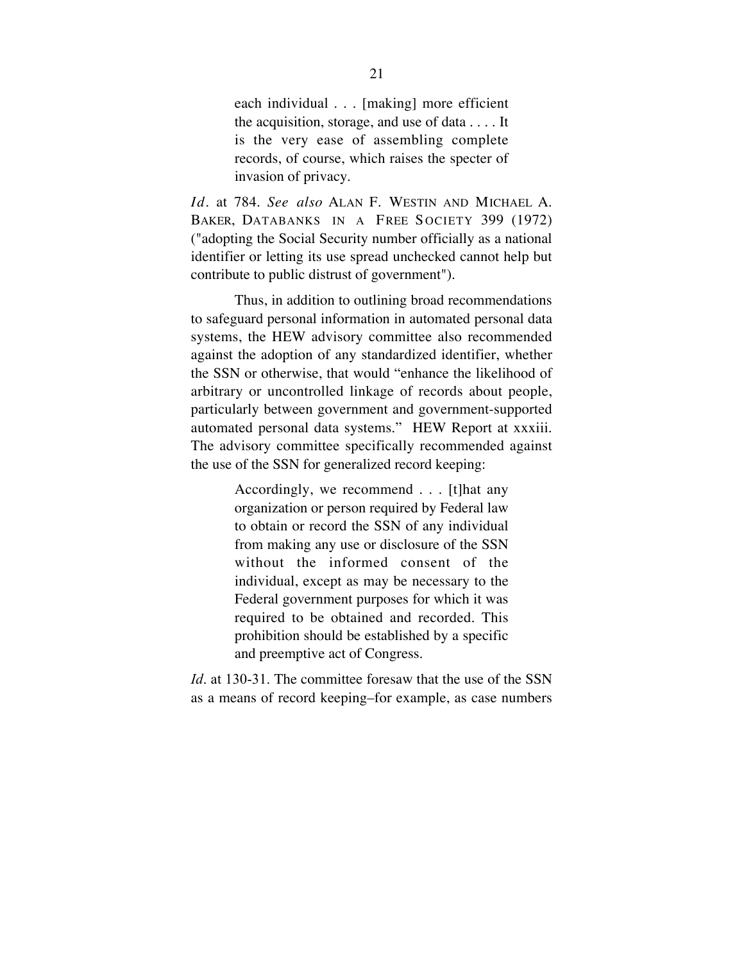each individual . . . [making] more efficient the acquisition, storage, and use of data . . . . It is the very ease of assembling complete records, of course, which raises the specter of invasion of privacy.

*Id*. at 784. *See also* ALAN F. WESTIN AND MICHAEL A. BAKER, DATABANKS IN A FREE SOCIETY 399 (1972) ("adopting the Social Security number officially as a national identifier or letting its use spread unchecked cannot help but contribute to public distrust of government").

Thus, in addition to outlining broad recommendations to safeguard personal information in automated personal data systems, the HEW advisory committee also recommended against the adoption of any standardized identifier, whether the SSN or otherwise, that would "enhance the likelihood of arbitrary or uncontrolled linkage of records about people, particularly between government and government-supported automated personal data systems." HEW Report at xxxiii. The advisory committee specifically recommended against the use of the SSN for generalized record keeping:

> Accordingly, we recommend . . . [t]hat any organization or person required by Federal law to obtain or record the SSN of any individual from making any use or disclosure of the SSN without the informed consent of the individual, except as may be necessary to the Federal government purposes for which it was required to be obtained and recorded. This prohibition should be established by a specific and preemptive act of Congress.

*Id*. at 130-31. The committee foresaw that the use of the SSN as a means of record keeping–for example, as case numbers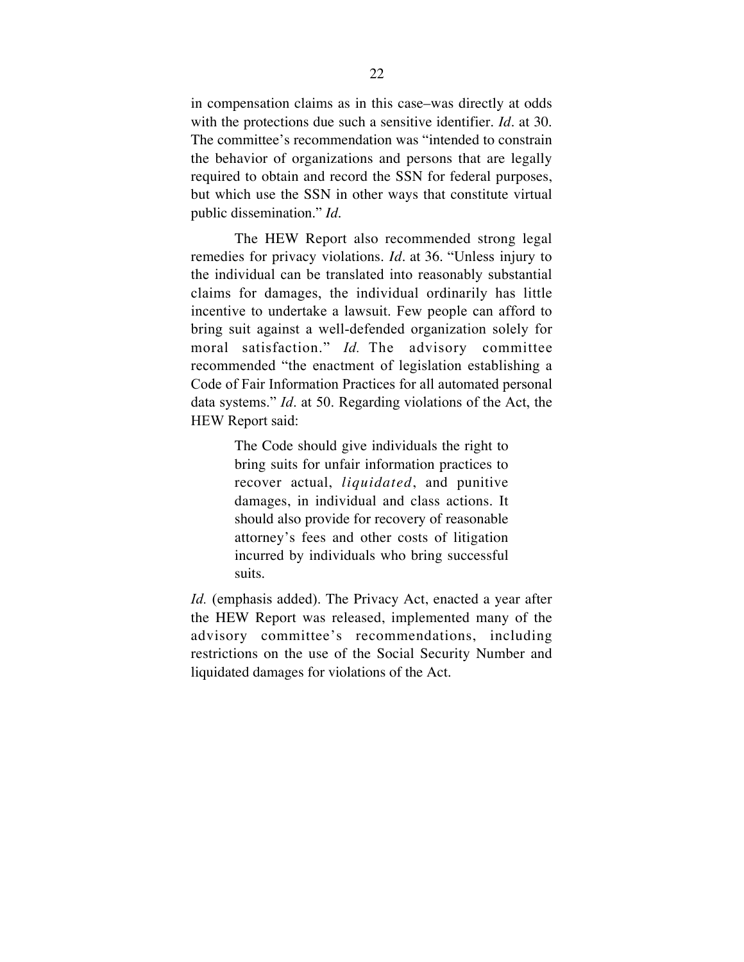in compensation claims as in this case–was directly at odds with the protections due such a sensitive identifier. *Id*. at 30. The committee's recommendation was "intended to constrain the behavior of organizations and persons that are legally required to obtain and record the SSN for federal purposes, but which use the SSN in other ways that constitute virtual public dissemination." *Id.*

The HEW Report also recommended strong legal remedies for privacy violations. *Id*. at 36. "Unless injury to the individual can be translated into reasonably substantial claims for damages, the individual ordinarily has little incentive to undertake a lawsuit. Few people can afford to bring suit against a well-defended organization solely for moral satisfaction." *Id.* The advisory committee recommended "the enactment of legislation establishing a Code of Fair Information Practices for all automated personal data systems." *Id*. at 50. Regarding violations of the Act, the HEW Report said:

> The Code should give individuals the right to bring suits for unfair information practices to recover actual, *liquidated*, and punitive damages, in individual and class actions. It should also provide for recovery of reasonable attorney's fees and other costs of litigation incurred by individuals who bring successful suits.

*Id.* (emphasis added). The Privacy Act, enacted a year after the HEW Report was released, implemented many of the advisory committee's recommendations, including restrictions on the use of the Social Security Number and liquidated damages for violations of the Act.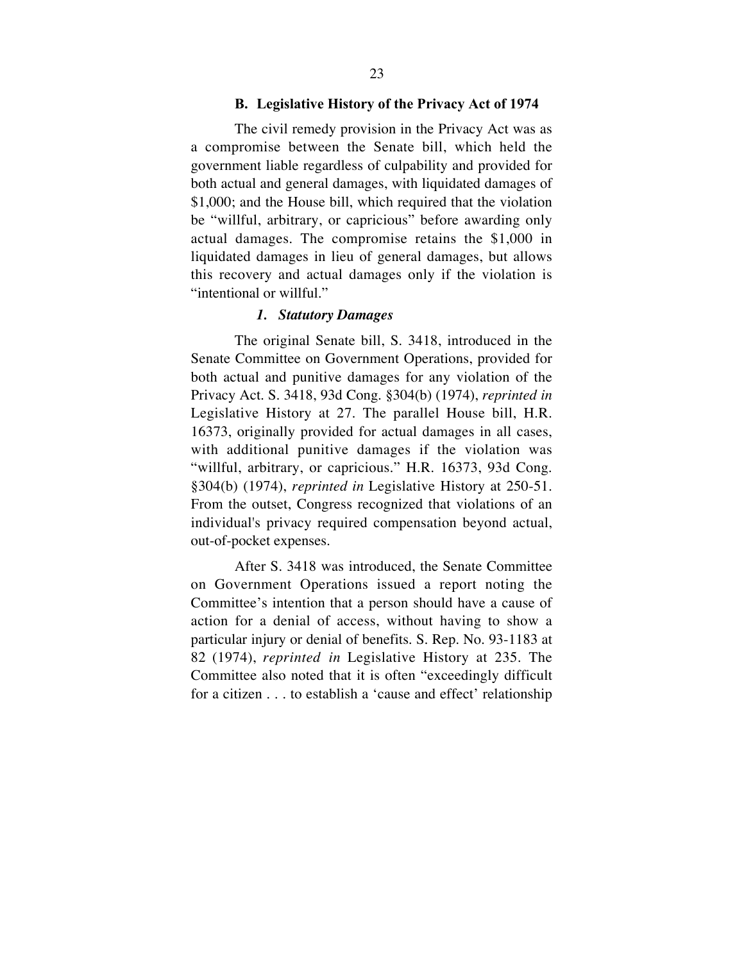### **B. Legislative History of the Privacy Act of 1974**

The civil remedy provision in the Privacy Act was as a compromise between the Senate bill, which held the government liable regardless of culpability and provided for both actual and general damages, with liquidated damages of \$1,000; and the House bill, which required that the violation be "willful, arbitrary, or capricious" before awarding only actual damages. The compromise retains the \$1,000 in liquidated damages in lieu of general damages, but allows this recovery and actual damages only if the violation is "intentional or willful."

### *1. Statutory Damages*

The original Senate bill, S. 3418, introduced in the Senate Committee on Government Operations, provided for both actual and punitive damages for any violation of the Privacy Act. S. 3418, 93d Cong. §304(b) (1974), *reprinted in* Legislative History at 27. The parallel House bill, H.R. 16373, originally provided for actual damages in all cases, with additional punitive damages if the violation was "willful, arbitrary, or capricious." H.R. 16373, 93d Cong. §304(b) (1974), *reprinted in* Legislative History at 250-51. From the outset, Congress recognized that violations of an individual's privacy required compensation beyond actual, out-of-pocket expenses.

After S. 3418 was introduced, the Senate Committee on Government Operations issued a report noting the Committee's intention that a person should have a cause of action for a denial of access, without having to show a particular injury or denial of benefits. S. Rep. No. 93-1183 at 82 (1974), *reprinted in* Legislative History at 235. The Committee also noted that it is often "exceedingly difficult for a citizen . . . to establish a 'cause and effect' relationship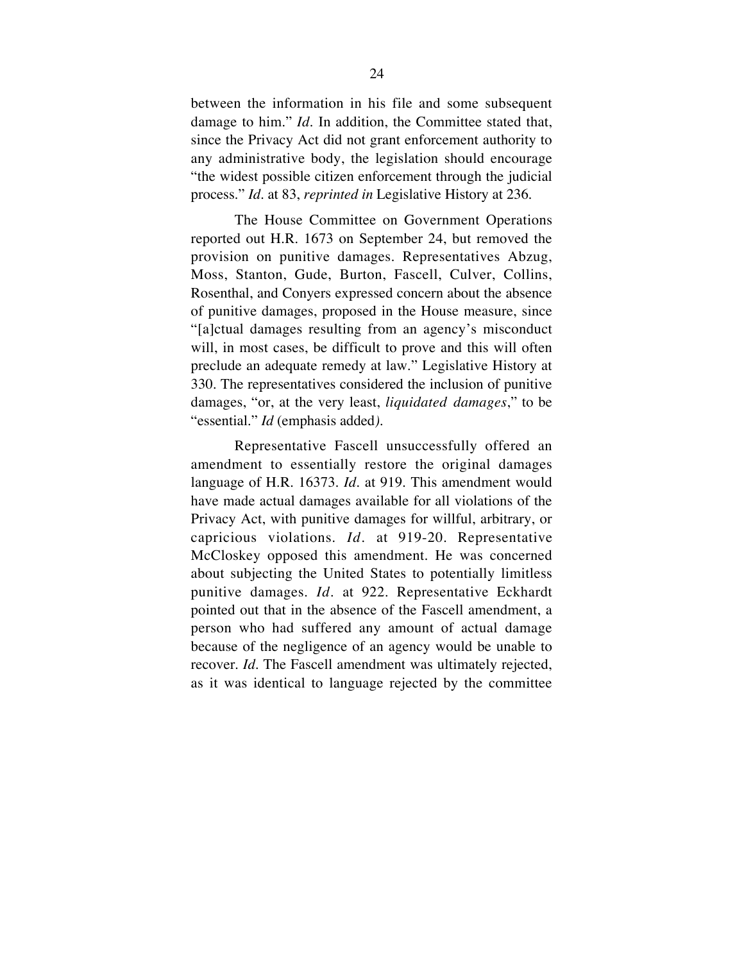between the information in his file and some subsequent damage to him." *Id*. In addition, the Committee stated that, since the Privacy Act did not grant enforcement authority to any administrative body, the legislation should encourage "the widest possible citizen enforcement through the judicial process." *Id.* at 83, *reprinted in* Legislative History at 236.

The House Committee on Government Operations reported out H.R. 1673 on September 24, but removed the provision on punitive damages. Representatives Abzug, Moss, Stanton, Gude, Burton, Fascell, Culver, Collins, Rosenthal, and Conyers expressed concern about the absence of punitive damages, proposed in the House measure, since "[a]ctual damages resulting from an agency's misconduct will, in most cases, be difficult to prove and this will often preclude an adequate remedy at law." Legislative History at 330. The representatives considered the inclusion of punitive damages, "or, at the very least, *liquidated damages*," to be "essential." *Id* (emphasis added*).*

Representative Fascell unsuccessfully offered an amendment to essentially restore the original damages language of H.R. 16373. *Id.* at 919. This amendment would have made actual damages available for all violations of the Privacy Act, with punitive damages for willful, arbitrary, or capricious violations. *Id.* at 919-20. Representative McCloskey opposed this amendment. He was concerned about subjecting the United States to potentially limitless punitive damages. *Id.* at 922. Representative Eckhardt pointed out that in the absence of the Fascell amendment, a person who had suffered any amount of actual damage because of the negligence of an agency would be unable to recover. *Id.* The Fascell amendment was ultimately rejected, as it was identical to language rejected by the committee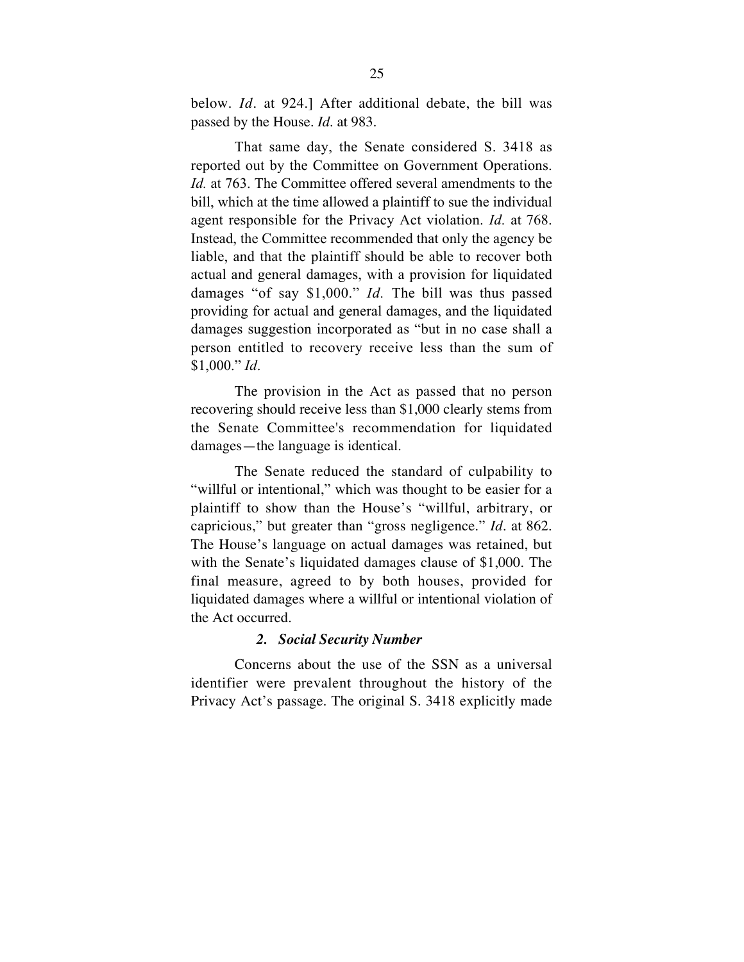below. *Id.* at 924.] After additional debate, the bill was passed by the House. *Id.* at 983.

That same day, the Senate considered S. 3418 as reported out by the Committee on Government Operations. *Id.* at 763. The Committee offered several amendments to the bill, which at the time allowed a plaintiff to sue the individual agent responsible for the Privacy Act violation. *Id.* at 768. Instead, the Committee recommended that only the agency be liable, and that the plaintiff should be able to recover both actual and general damages, with a provision for liquidated damages "of say \$1,000." *Id.* The bill was thus passed providing for actual and general damages, and the liquidated damages suggestion incorporated as "but in no case shall a person entitled to recovery receive less than the sum of \$1,000." *Id*.

The provision in the Act as passed that no person recovering should receive less than \$1,000 clearly stems from the Senate Committee's recommendation for liquidated damages—the language is identical.

The Senate reduced the standard of culpability to "willful or intentional," which was thought to be easier for a plaintiff to show than the House's "willful, arbitrary, or capricious," but greater than "gross negligence." *Id.* at 862. The House's language on actual damages was retained, but with the Senate's liquidated damages clause of \$1,000. The final measure, agreed to by both houses, provided for liquidated damages where a willful or intentional violation of the Act occurred.

#### *2. Social Security Number*

Concerns about the use of the SSN as a universal identifier were prevalent throughout the history of the Privacy Act's passage. The original S. 3418 explicitly made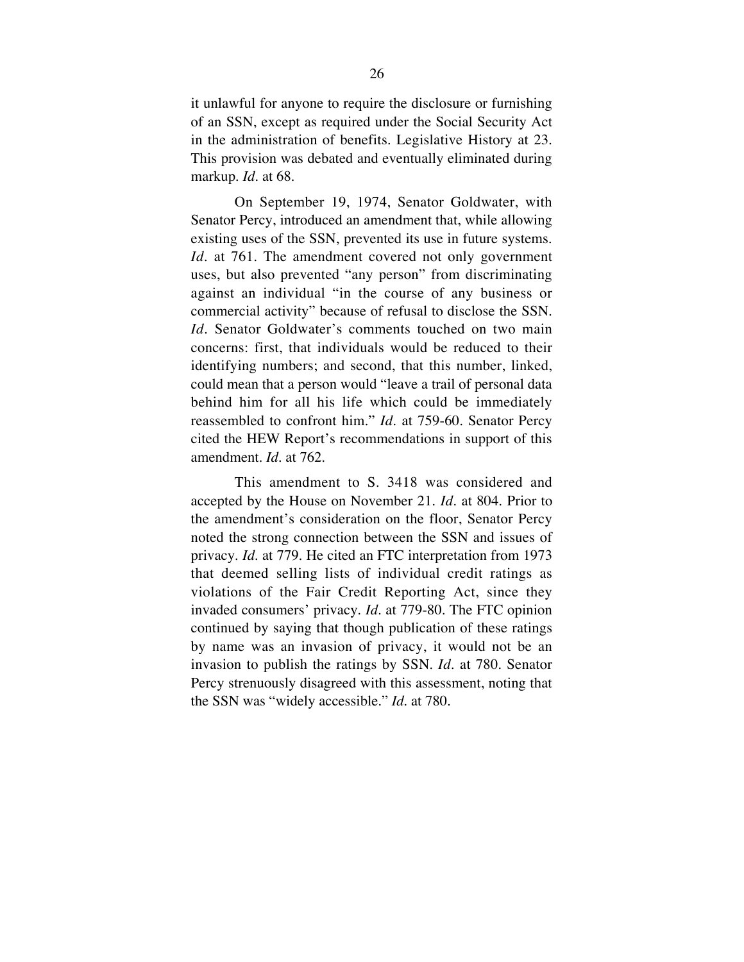it unlawful for anyone to require the disclosure or furnishing of an SSN, except as required under the Social Security Act in the administration of benefits. Legislative History at 23. This provision was debated and eventually eliminated during markup. *Id*. at 68.

On September 19, 1974, Senator Goldwater, with Senator Percy, introduced an amendment that, while allowing existing uses of the SSN, prevented its use in future systems. *Id.* at 761. The amendment covered not only government uses, but also prevented "any person" from discriminating against an individual "in the course of any business or commercial activity" because of refusal to disclose the SSN. *Id.* Senator Goldwater's comments touched on two main concerns: first, that individuals would be reduced to their identifying numbers; and second, that this number, linked, could mean that a person would "leave a trail of personal data behind him for all his life which could be immediately reassembled to confront him." *Id.* at 759-60. Senator Percy cited the HEW Report's recommendations in support of this amendment. *Id.* at 762.

This amendment to S. 3418 was considered and accepted by the House on November 21. *Id.* at 804. Prior to the amendment's consideration on the floor, Senator Percy noted the strong connection between the SSN and issues of privacy. *Id.* at 779. He cited an FTC interpretation from 1973 that deemed selling lists of individual credit ratings as violations of the Fair Credit Reporting Act, since they invaded consumers' privacy. *Id.* at 779-80. The FTC opinion continued by saying that though publication of these ratings by name was an invasion of privacy, it would not be an invasion to publish the ratings by SSN. *Id.* at 780. Senator Percy strenuously disagreed with this assessment, noting that the SSN was "widely accessible." *Id.* at 780.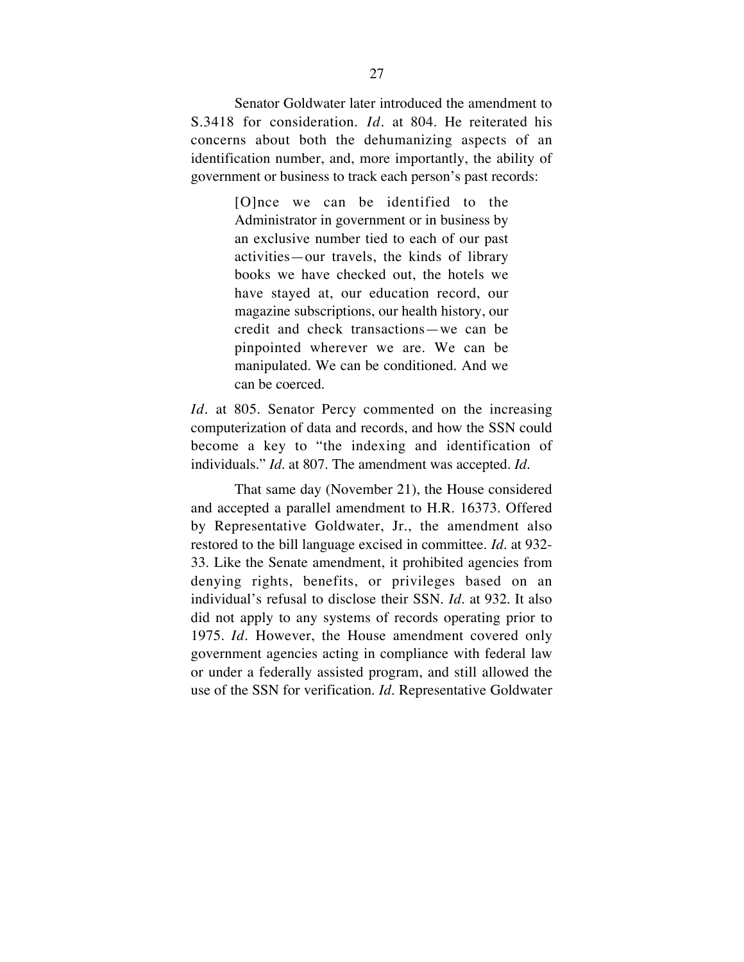Senator Goldwater later introduced the amendment to S.3418 for consideration. *Id.* at 804. He reiterated his concerns about both the dehumanizing aspects of an identification number, and, more importantly, the ability of government or business to track each person's past records:

> [O]nce we can be identified to the Administrator in government or in business by an exclusive number tied to each of our past activities—our travels, the kinds of library books we have checked out, the hotels we have stayed at, our education record, our magazine subscriptions, our health history, our credit and check transactions—we can be pinpointed wherever we are. We can be manipulated. We can be conditioned. And we can be coerced.

*Id.* at 805. Senator Percy commented on the increasing computerization of data and records, and how the SSN could become a key to "the indexing and identification of individuals." *Id.* at 807. The amendment was accepted. *Id.*

That same day (November 21), the House considered and accepted a parallel amendment to H.R. 16373. Offered by Representative Goldwater, Jr., the amendment also restored to the bill language excised in committee. *Id.* at 932- 33. Like the Senate amendment, it prohibited agencies from denying rights, benefits, or privileges based on an individual's refusal to disclose their SSN. *Id.* at 932. It also did not apply to any systems of records operating prior to 1975. *Id.* However, the House amendment covered only government agencies acting in compliance with federal law or under a federally assisted program, and still allowed the use of the SSN for verification. *Id.* Representative Goldwater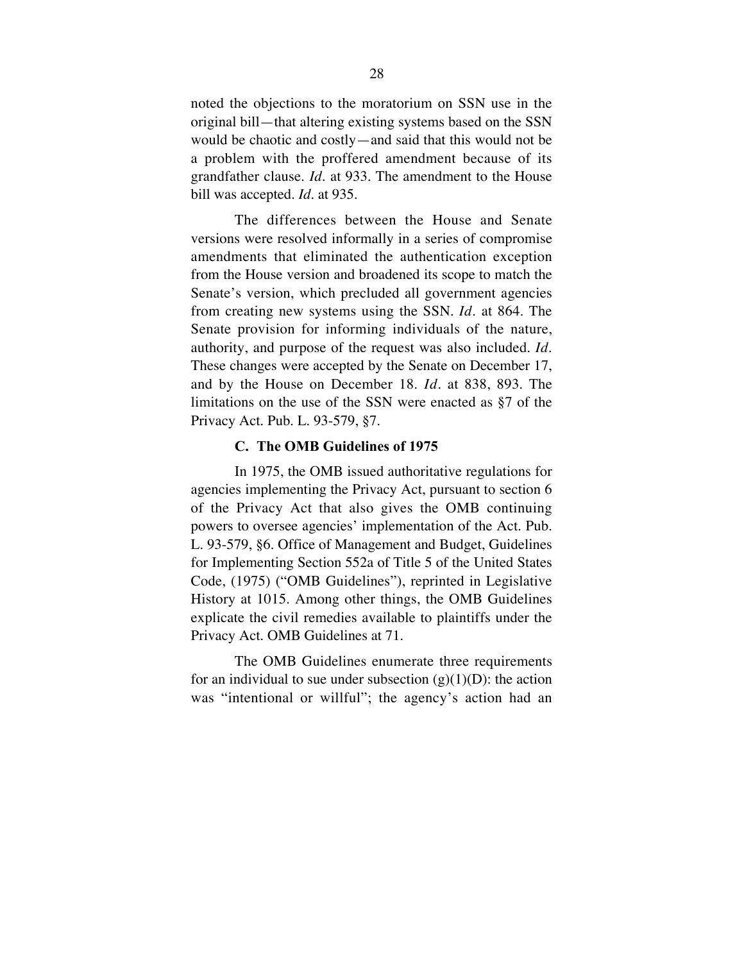noted the objections to the moratorium on SSN use in the original bill—that altering existing systems based on the SSN would be chaotic and costly—and said that this would not be a problem with the proffered amendment because of its grandfather clause. *Id.* at 933. The amendment to the House bill was accepted. *Id.* at 935.

The differences between the House and Senate versions were resolved informally in a series of compromise amendments that eliminated the authentication exception from the House version and broadened its scope to match the Senate's version, which precluded all government agencies from creating new systems using the SSN. *Id.* at 864. The Senate provision for informing individuals of the nature, authority, and purpose of the request was also included. *Id.* These changes were accepted by the Senate on December 17, and by the House on December 18. *Id*. at 838, 893. The limitations on the use of the SSN were enacted as §7 of the Privacy Act. Pub. L. 93-579, §7.

### **C. The OMB Guidelines of 1975**

In 1975, the OMB issued authoritative regulations for agencies implementing the Privacy Act, pursuant to section 6 of the Privacy Act that also gives the OMB continuing powers to oversee agencies' implementation of the Act. Pub. L. 93-579, §6. Office of Management and Budget, Guidelines for Implementing Section 552a of Title 5 of the United States Code, (1975) ("OMB Guidelines"), reprinted in Legislative History at 1015. Among other things, the OMB Guidelines explicate the civil remedies available to plaintiffs under the Privacy Act. OMB Guidelines at 71.

The OMB Guidelines enumerate three requirements for an individual to sue under subsection  $(g)(1)(D)$ : the action was "intentional or willful"; the agency's action had an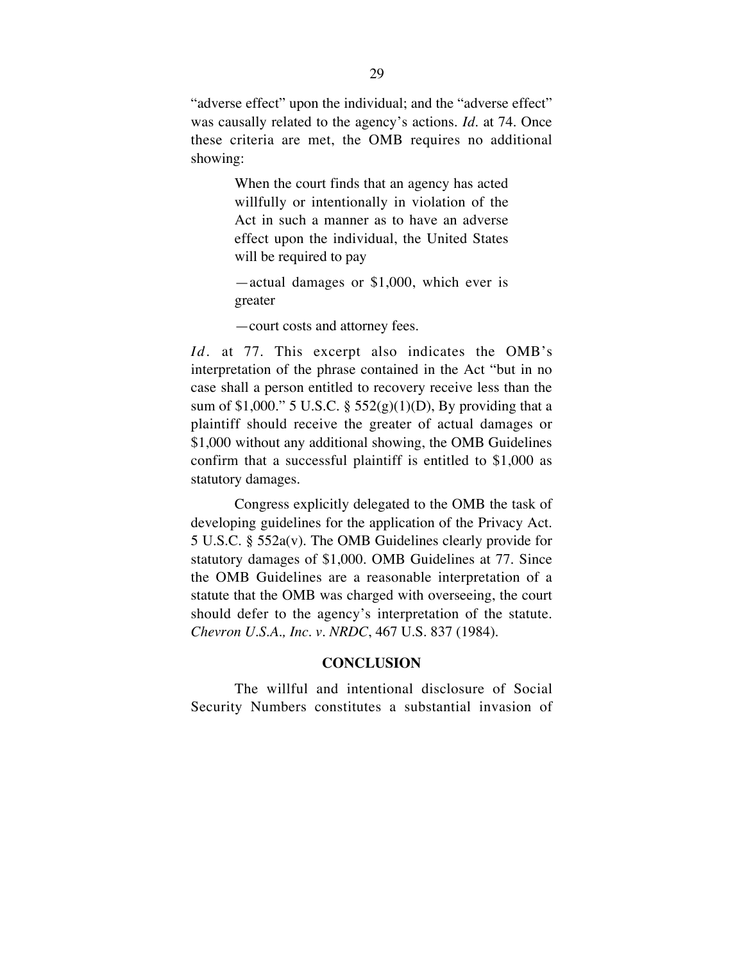"adverse effect" upon the individual; and the "adverse effect" was causally related to the agency's actions. *Id.* at 74. Once these criteria are met, the OMB requires no additional showing:

> When the court finds that an agency has acted willfully or intentionally in violation of the Act in such a manner as to have an adverse effect upon the individual, the United States will be required to pay

> —actual damages or \$1,000, which ever is greater

—court costs and attorney fees.

*Id.* at 77. This excerpt also indicates the OMB's interpretation of the phrase contained in the Act "but in no case shall a person entitled to recovery receive less than the sum of \$1,000." 5 U.S.C. § 552(g)(1)(D), By providing that a plaintiff should receive the greater of actual damages or \$1,000 without any additional showing, the OMB Guidelines confirm that a successful plaintiff is entitled to \$1,000 as statutory damages.

Congress explicitly delegated to the OMB the task of developing guidelines for the application of the Privacy Act. 5 U.S.C. § 552a(v). The OMB Guidelines clearly provide for statutory damages of \$1,000. OMB Guidelines at 77. Since the OMB Guidelines are a reasonable interpretation of a statute that the OMB was charged with overseeing, the court should defer to the agency's interpretation of the statute. *Chevron U.S.A., Inc. v. NRDC*, 467 U.S. 837 (1984).

## **CONCLUSION**

The willful and intentional disclosure of Social Security Numbers constitutes a substantial invasion of